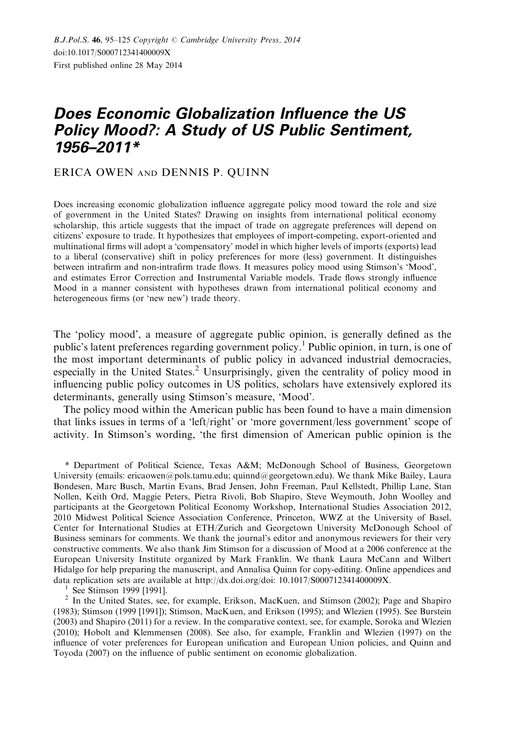# **Does Economic Globalization Influence the US Policy Mood?: A Study of US Public Sentiment, 1956–2011\***

# ERICA OWEN AND DENNIS P. QUINN

Does increasing economic globalization influence aggregate policy mood toward the role and size of government in the United States? Drawing on insights from international political economy scholarship, this article suggests that the impact of trade on aggregate preferences will depend on citizens' exposure to trade. It hypothesizes that employees of import-competing, export-oriented and multinational firms will adopt a 'compensatory' model in which higher levels of imports (exports) lead to a liberal (conservative) shift in policy preferences for more (less) government. It distinguishes between intrafirm and non-intrafirm trade flows. It measures policy mood using Stimson's 'Mood', and estimates Error Correction and Instrumental Variable models. Trade flows strongly influence Mood in a manner consistent with hypotheses drawn from international political economy and heterogeneous firms (or 'new new') trade theory.

The 'policy mood', a measure of aggregate public opinion, is generally defined as the public's latent preferences regarding government policy.<sup>1</sup> Public opinion, in turn, is one of the most important determinants of public policy in advanced industrial democracies, especially in the United States.<sup>2</sup> Unsurprisingly, given the centrality of policy mood in influencing public policy outcomes in US politics, scholars have extensively explored its determinants, generally using Stimson's measure, 'Mood'.

The policy mood within the American public has been found to have a main dimension that links issues in terms of a 'left/right' or 'more government/less government' scope of activity. In Stimson's wording, 'the first dimension of American public opinion is the

\* Department of Political Science, Texas A&M; McDonough School of Business, Georgetown University (emails: ericaowen@pols.tamu.edu; quinnd@georgetown.edu). We thank Mike Bailey, Laura Bondesen, Marc Busch, Martin Evans, Brad Jensen, John Freeman, Paul Kellstedt, Phillip Lane, Stan Nollen, Keith Ord, Maggie Peters, Pietra Rivoli, Bob Shapiro, Steve Weymouth, John Woolley and participants at the Georgetown Political Economy Workshop, International Studies Association 2012, 2010 Midwest Political Science Association Conference, Princeton, WWZ at the University of Basel, Center for International Studies at ETH/Zurich and Georgetown University McDonough School of Business seminars for comments. We thank the journal's editor and anonymous reviewers for their very constructive comments. We also thank Jim Stimson for a discussion of Mood at a 2006 conference at the European University Institute organized by Mark Franklin. We thank Laura McCann and Wilbert Hidalgo for help preparing the manuscript, and Annalisa Quinn for copy-editing. Online appendices and data replication sets are available at http://dx.doi.org/doi: 10.1017/S000712341400009X.

data replication sets are available 10.1017/SD.<br>
<sup>2</sup> In the United States, see, for example, Erikson, MacKuen, and Stimson ([2002\)](#page-26-0); Page and Shapiro ([1983\)](#page-27-0); Stimson [\(1999](#page-28-0) [1991]); Stimson, MacKuen, and Erikson ([1995\)](#page-28-0); and Wlezien [\(1995](#page-28-0)). See Burstein ([2003\)](#page-26-0) and Shapiro [\(2011\)](#page-28-0) for a review. In the comparative context, see, for example, Soroka and Wlezien ([2010\)](#page-28-0); Hobolt and Klemmensen ([2008\)](#page-27-0). See also, for example, Franklin and Wlezien ([1997\)](#page-26-0) on the influence of voter preferences for European unification and European Union policies, and Quinn and Toyoda ([2007\)](#page-28-0) on the influence of public sentiment on economic globalization.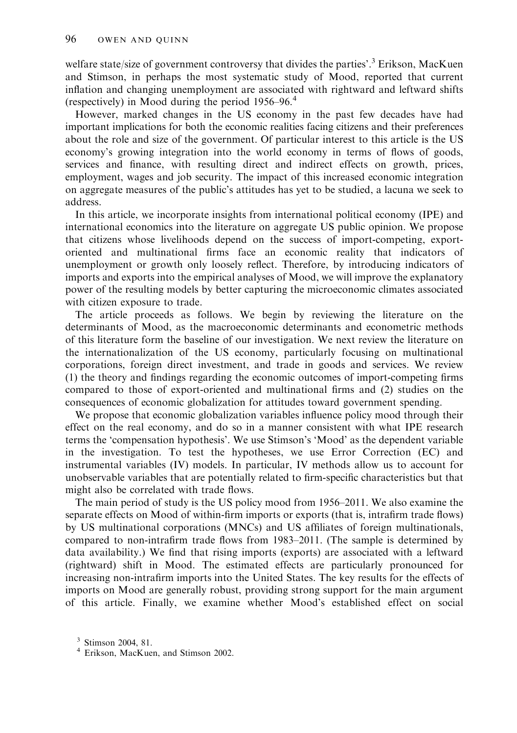welfare state/size of government controversy that divides the parties'.<sup>3</sup> Erikson, MacKuen and Stimson, in perhaps the most systematic study of Mood, reported that current inflation and changing unemployment are associated with rightward and leftward shifts (respectively) in Mood during the period 1956–96.<sup>4</sup>

However, marked changes in the US economy in the past few decades have had important implications for both the economic realities facing citizens and their preferences about the role and size of the government. Of particular interest to this article is the US economy's growing integration into the world economy in terms of flows of goods, services and finance, with resulting direct and indirect effects on growth, prices, employment, wages and job security. The impact of this increased economic integration on aggregate measures of the public's attitudes has yet to be studied, a lacuna we seek to address.

In this article, we incorporate insights from international political economy (IPE) and international economics into the literature on aggregate US public opinion. We propose that citizens whose livelihoods depend on the success of import-competing, exportoriented and multinational firms face an economic reality that indicators of unemployment or growth only loosely reflect. Therefore, by introducing indicators of imports and exports into the empirical analyses of Mood, we will improve the explanatory power of the resulting models by better capturing the microeconomic climates associated with citizen exposure to trade.

The article proceeds as follows. We begin by reviewing the literature on the determinants of Mood, as the macroeconomic determinants and econometric methods of this literature form the baseline of our investigation. We next review the literature on the internationalization of the US economy, particularly focusing on multinational corporations, foreign direct investment, and trade in goods and services. We review (1) the theory and findings regarding the economic outcomes of import-competing firms compared to those of export-oriented and multinational firms and (2) studies on the consequences of economic globalization for attitudes toward government spending.

We propose that economic globalization variables influence policy mood through their effect on the real economy, and do so in a manner consistent with what IPE research terms the 'compensation hypothesis'. We use Stimson's 'Mood' as the dependent variable in the investigation. To test the hypotheses, we use Error Correction (EC) and instrumental variables (IV) models. In particular, IV methods allow us to account for unobservable variables that are potentially related to firm-specific characteristics but that might also be correlated with trade flows.

The main period of study is the US policy mood from 1956–2011. We also examine the separate effects on Mood of within-firm imports or exports (that is, intrafirm trade flows) by US multinational corporations (MNCs) and US affiliates of foreign multinationals, compared to non-intrafirm trade flows from 1983–2011. (The sample is determined by data availability.) We find that rising imports (exports) are associated with a leftward (rightward) shift in Mood. The estimated effects are particularly pronounced for increasing non-intrafirm imports into the United States. The key results for the effects of imports on Mood are generally robust, providing strong support for the main argument of this article. Finally, we examine whether Mood's established effect on social

 $\frac{3}{4}$  Stimson [2004,](#page-28-0) 81.<br> $\frac{4}{4}$  Erikson, MacKuen, and Stimson [2002](#page-26-0).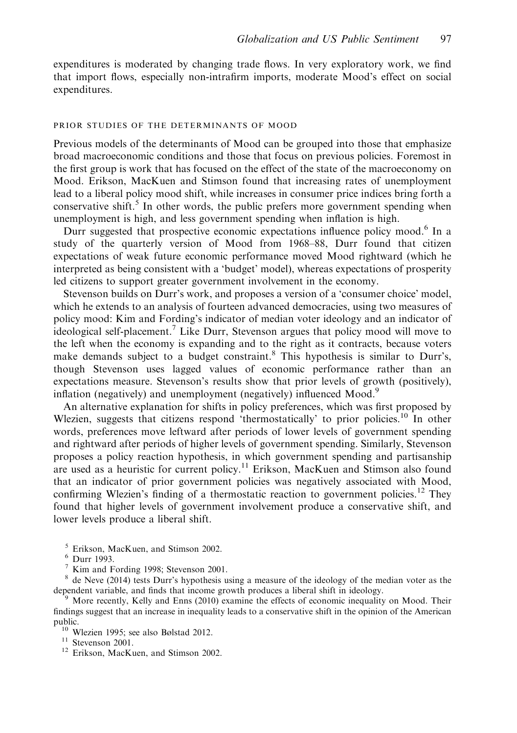expenditures is moderated by changing trade flows. In very exploratory work, we find that import flows, especially non-intrafirm imports, moderate Mood's effect on social expenditures.

## PRIOR STUDIES OF THE DETERMINANTS OF MOOD

Previous models of the determinants of Mood can be grouped into those that emphasize broad macroeconomic conditions and those that focus on previous policies. Foremost in the first group is work that has focused on the effect of the state of the macroeconomy on Mood. Erikson, MacKuen and Stimson found that increasing rates of unemployment lead to a liberal policy mood shift, while increases in consumer price indices bring forth a conservative shift.<sup>5</sup> In other words, the public prefers more government spending when unemployment is high, and less government spending when inflation is high.

Durr suggested that prospective economic expectations influence policy mood.<sup>6</sup> In a study of the quarterly version of Mood from 1968–88, Durr found that citizen expectations of weak future economic performance moved Mood rightward (which he interpreted as being consistent with a 'budget' model), whereas expectations of prosperity led citizens to support greater government involvement in the economy.

Stevenson builds on Durr's work, and proposes a version of a 'consumer choice' model, which he extends to an analysis of fourteen advanced democracies, using two measures of policy mood: Kim and Fording's indicator of median voter ideology and an indicator of ideological self-placement.<sup>7</sup> Like Durr, Stevenson argues that policy mood will move to the left when the economy is expanding and to the right as it contracts, because voters make demands subject to a budget constraint.<sup>8</sup> This hypothesis is similar to Durr's, though Stevenson uses lagged values of economic performance rather than an expectations measure. Stevenson's results show that prior levels of growth (positively), inflation (negatively) and unemployment (negatively) influenced Mood.<sup>9</sup>

An alternative explanation for shifts in policy preferences, which was first proposed by Wlezien, suggests that citizens respond 'thermostatically' to prior policies.<sup>10</sup> In other words, preferences move leftward after periods of lower levels of government spending and rightward after periods of higher levels of government spending. Similarly, Stevenson proposes a policy reaction hypothesis, in which government spending and partisanship are used as a heuristic for current policy.<sup>11</sup> Erikson, MacKuen and Stimson also found that an indicator of prior government policies was negatively associated with Mood, confirming Wlezien's finding of a thermostatic reaction to government policies.<sup>12</sup> They found that higher levels of government involvement produce a conservative shift, and lower levels produce a liberal shift.

<sup>5</sup> Erikson, MacKuen, and Stimson [2002.](#page-26-0)<br>
<sup>6</sup> Durr [1993](#page-26-0).<br>
<sup>7</sup> Kim and Fording [1998;](#page-27-0) Stevenson [2001](#page-28-0).<br>
<sup>8</sup> de Neve ([2014\)](#page-26-0) tests Durr's hypothesis using a measure of the ideology of the median voter as the dependent variable,

 $\frac{1}{9}$  More recently, Kelly and Enns ([2010\)](#page-27-0) examine the effects of economic inequality on Mood. Their findings suggest that an increase in inequality leads to a conservative shift in the opinion of the American public. <sup>10</sup> Wlezien [1995;](#page-28-0) see also Bølstad [2012.](#page-26-0)<br><sup>11</sup> Stevenson [2001](#page-28-0). <sup>12</sup> Erikson, MacKuen, and Stimson [2002.](#page-26-0)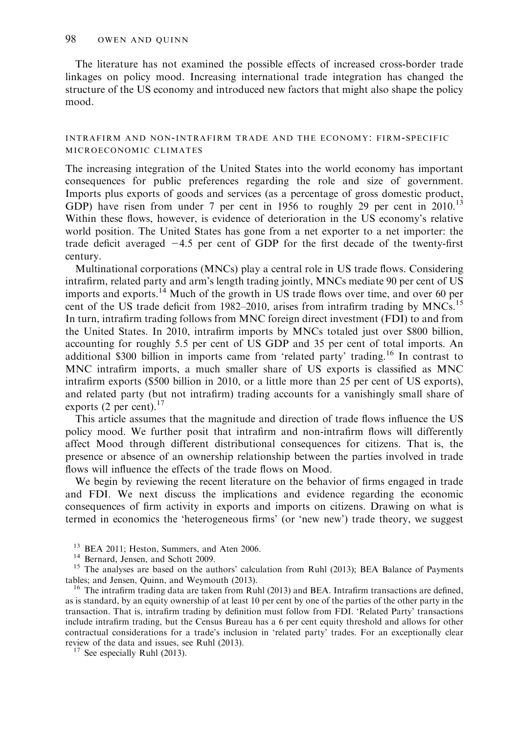The literature has not examined the possible effects of increased cross-border trade linkages on policy mood. Increasing international trade integration has changed the structure of the US economy and introduced new factors that might also shape the policy mood.

## INTRAFIRM AND NON-INTRAFIRM TRADE AND THE ECONOMY: FIRM-SPECIFIC MICROECONOMIC CLIMATES

The increasing integration of the United States into the world economy has important consequences for public preferences regarding the role and size of government. Imports plus exports of goods and services (as a percentage of gross domestic product, GDP) have risen from under 7 per cent in 1956 to roughly 29 per cent in 2010.<sup>13</sup> Within these flows, however, is evidence of deterioration in the US economy's relative world position. The United States has gone from a net exporter to a net importer: the trade deficit averaged  $-4.5$  per cent of GDP for the first decade of the twenty-first century.

Multinational corporations (MNCs) play a central role in US trade flows. Considering intrafirm, related party and arm's length trading jointly, MNCs mediate 90 per cent of US imports and exports.14 Much of the growth in US trade flows over time, and over 60 per cent of the US trade deficit from 1982–2010, arises from intrafirm trading by MNCs.<sup>15</sup> In turn, intrafirm trading follows from MNC foreign direct investment (FDI) to and from the United States. In 2010, intrafirm imports by MNCs totaled just over \$800 billion, accounting for roughly 5.5 per cent of US GDP and 35 per cent of total imports. An additional \$300 billion in imports came from 'related party' trading.<sup>16</sup> In contrast to MNC intrafirm imports, a much smaller share of US exports is classified as MNC intrafirm exports (\$500 billion in 2010, or a little more than 25 per cent of US exports), and related party (but not intrafirm) trading accounts for a vanishingly small share of exports (2 per cent). $^{17}$ 

This article assumes that the magnitude and direction of trade flows influence the US policy mood. We further posit that intrafirm and non-intrafirm flows will differently affect Mood through different distributional consequences for citizens. That is, the presence or absence of an ownership relationship between the parties involved in trade flows will influence the effects of the trade flows on Mood.

We begin by reviewing the recent literature on the behavior of firms engaged in trade and FDI. We next discuss the implications and evidence regarding the economic consequences of firm activity in exports and imports on citizens. Drawing on what is termed in economics the 'heterogeneous firms' (or 'new new') trade theory, we suggest

- 
- 

<sup>13</sup> BEA [2011](#page-26-0); Heston, Summers, and Aten [2006.](#page-27-0)<br><sup>14</sup> Bernard, Jensen, and Schott [2009](#page-26-0).<br><sup>15</sup> The analyses are based on the authors' calculation from Ruhl [\(2013\)](#page-28-0); BEA Balance of Payments<br>tables; and Jensen, Quinn, and Weymou

<sup>16</sup> The intrafirm trading data are taken from Ruhl ([2013\)](#page-28-0) and BEA. Intrafirm transactions are defined, as is standard, by an equity ownership of at least 10 per cent by one of the parties of the other party in the transaction. That is, intrafirm trading by definition must follow from FDI. 'Related Party' transactions include intrafirm trading, but the Census Bureau has a 6 per cent equity threshold and allows for other contractual considerations for a trade's inclusion in 'related party' trades. For an exceptionally clear review of the data and issues, see Ruhl ([2013\)](#page-28-0). <sup>17</sup> See especially Ruhl [\(2013](#page-28-0)).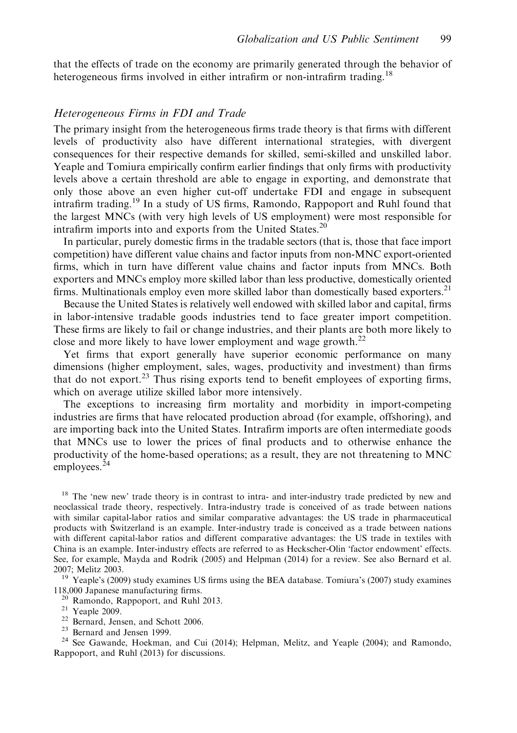that the effects of trade on the economy are primarily generated through the behavior of heterogeneous firms involved in either intrafirm or non-intrafirm trading.<sup>18</sup>

# Heterogeneous Firms in FDI and Trade

The primary insight from the heterogeneous firms trade theory is that firms with different levels of productivity also have different international strategies, with divergent consequences for their respective demands for skilled, semi-skilled and unskilled labor. Yeaple and Tomiura empirically confirm earlier findings that only firms with productivity levels above a certain threshold are able to engage in exporting, and demonstrate that only those above an even higher cut-off undertake FDI and engage in subsequent intrafirm trading.<sup>19</sup> In a study of US firms, Ramondo, Rappoport and Ruhl found that the largest MNCs (with very high levels of US employment) were most responsible for intrafirm imports into and exports from the United States. $20$ 

In particular, purely domestic firms in the tradable sectors (that is, those that face import competition) have different value chains and factor inputs from non-MNC export-oriented firms, which in turn have different value chains and factor inputs from MNCs. Both exporters and MNCs employ more skilled labor than less productive, domestically oriented firms. Multinationals employ even more skilled labor than domestically based exporters.<sup>21</sup>

Because the United States is relatively well endowed with skilled labor and capital, firms in labor-intensive tradable goods industries tend to face greater import competition. These firms are likely to fail or change industries, and their plants are both more likely to close and more likely to have lower employment and wage growth.<sup>22</sup>

Yet firms that export generally have superior economic performance on many dimensions (higher employment, sales, wages, productivity and investment) than firms that do not export.<sup>23</sup> Thus rising exports tend to benefit employees of exporting firms, which on average utilize skilled labor more intensively.

The exceptions to increasing firm mortality and morbidity in import-competing industries are firms that have relocated production abroad (for example, offshoring), and are importing back into the United States. Intrafirm imports are often intermediate goods that MNCs use to lower the prices of final products and to otherwise enhance the productivity of the home-based operations; as a result, they are not threatening to MNC employees.<sup>24</sup>

<sup>18</sup> The 'new new' trade theory is in contrast to intra- and inter-industry trade predicted by new and neoclassical trade theory, respectively. Intra-industry trade is conceived of as trade between nations with similar capital-labor ratios and similar comparative advantages: the US trade in pharmaceutical products with Switzerland is an example. Inter-industry trade is conceived as a trade between nations with different capital-labor ratios and different comparative advantages: the US trade in textiles with China is an example. Inter-industry effects are referred to as Heckscher-Olin 'factor endowment' effects. See, for example, Mayda and Rodrik [\(2005](#page-27-0)) and Helpman [\(2014](#page-27-0)) for a review. See also Bernard et al. [2007;](#page-26-0) Melitz [2003](#page-27-0).<br><sup>19</sup> Yeaple's [\(2009\)](#page-29-0) study examines US firms using the BEA database. Tomiura's ([2007\)](#page-28-0) study examines

118,000 Japanese manufacturing firms.<br>
<sup>20</sup> Ramondo, Rappoport, and Ruhl [2013](#page-28-0).<br>
<sup>21</sup> Yeaple [2009](#page-29-0).<br>
<sup>22</sup> Bernard, Jensen, and Schott [2006](#page-26-0).<br>
<sup>23</sup> Bernard and Jensen [1999](#page-26-0).<br>
<sup>24</sup> See Gawande, Hoekman, and Cui ([2014\)](#page-27-0); Helpman,

- 
- 
- 
- 

Rappoport, and Ruhl ([2013\)](#page-28-0) for discussions.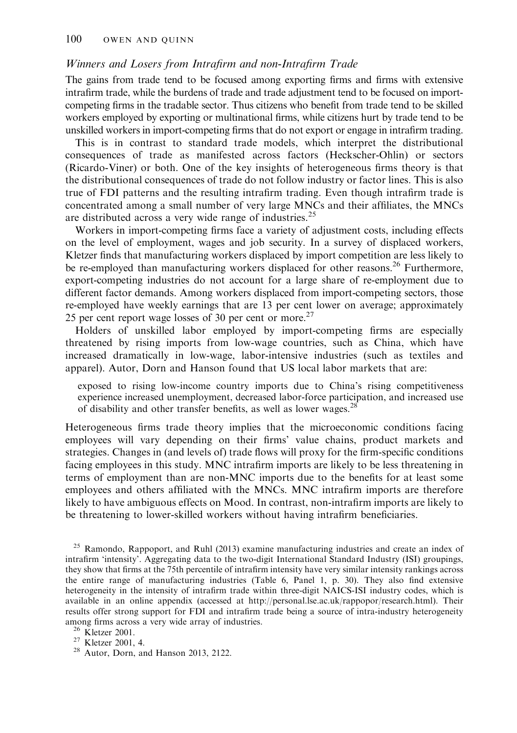# Winners and Losers from Intrafirm and non-Intrafirm Trade

The gains from trade tend to be focused among exporting firms and firms with extensive intrafirm trade, while the burdens of trade and trade adjustment tend to be focused on importcompeting firms in the tradable sector. Thus citizens who benefit from trade tend to be skilled workers employed by exporting or multinational firms, while citizens hurt by trade tend to be unskilled workers in import-competing firms that do not export or engage in intrafirm trading.

This is in contrast to standard trade models, which interpret the distributional consequences of trade as manifested across factors (Heckscher-Ohlin) or sectors (Ricardo-Viner) or both. One of the key insights of heterogeneous firms theory is that the distributional consequences of trade do not follow industry or factor lines. This is also true of FDI patterns and the resulting intrafirm trading. Even though intrafirm trade is concentrated among a small number of very large MNCs and their affiliates, the MNCs are distributed across a very wide range of industries.<sup>25</sup>

Workers in import-competing firms face a variety of adjustment costs, including effects on the level of employment, wages and job security. In a survey of displaced workers, Kletzer finds that manufacturing workers displaced by import competition are less likely to be re-employed than manufacturing workers displaced for other reasons.<sup>26</sup> Furthermore, export-competing industries do not account for a large share of re-employment due to different factor demands. Among workers displaced from import-competing sectors, those re-employed have weekly earnings that are 13 per cent lower on average; approximately 25 per cent report wage losses of 30 per cent or more.<sup>27</sup>

Holders of unskilled labor employed by import-competing firms are especially threatened by rising imports from low-wage countries, such as China, which have increased dramatically in low-wage, labor-intensive industries (such as textiles and apparel). Autor, Dorn and Hanson found that US local labor markets that are:

exposed to rising low-income country imports due to China's rising competitiveness experience increased unemployment, decreased labor-force participation, and increased use of disability and other transfer benefits, as well as lower wages.<sup>28</sup>

Heterogeneous firms trade theory implies that the microeconomic conditions facing employees will vary depending on their firms' value chains, product markets and strategies. Changes in (and levels of) trade flows will proxy for the firm-specific conditions facing employees in this study. MNC intrafirm imports are likely to be less threatening in terms of employment than are non-MNC imports due to the benefits for at least some employees and others affiliated with the MNCs. MNC intrafirm imports are therefore likely to have ambiguous effects on Mood. In contrast, non-intrafirm imports are likely to be threatening to lower-skilled workers without having intrafirm beneficiaries.

 $25$  Ramondo, Rappoport, and Ruhl ([2013\)](#page-28-0) examine manufacturing industries and create an index of intrafirm 'intensity'. Aggregating data to the two-digit International Standard Industry (ISI) groupings, they show that firms at the 75th percentile of intrafirm intensity have very similar intensity rankings across the entire range of manufacturing industries (Table 6, Panel 1, p. 30). They also find extensive heterogeneity in the intensity of intrafirm trade within three-digit NAICS-ISI industry codes, which is available in an online appendix (accessed at http://personal.lse.ac.uk/rappopor/research.html). Their results offer strong support for FDI and intrafirm trade being a source of intra-industry heterogeneity

<sup>&</sup>lt;sup>26</sup> Kletzer [2001.](#page-27-0)<br><sup>27</sup> Kletzer [2001,](#page-27-0) 4. <sup>28</sup> Autor, Dorn, and Hanson [2013,](#page-26-0) 2122.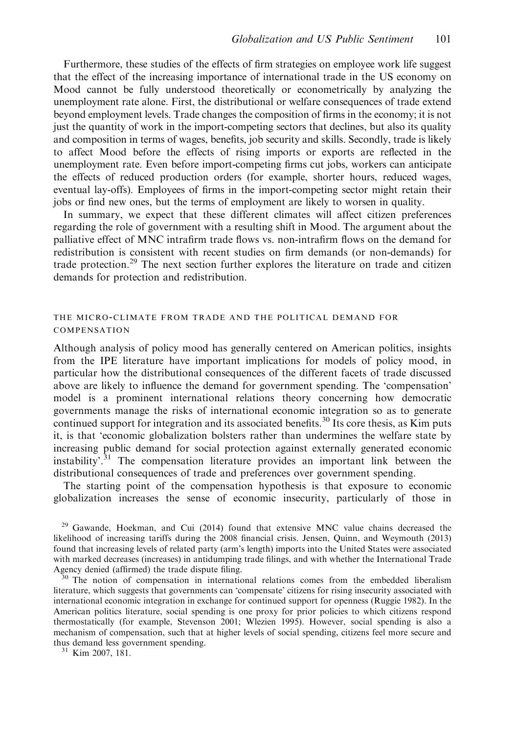Furthermore, these studies of the effects of firm strategies on employee work life suggest that the effect of the increasing importance of international trade in the US economy on Mood cannot be fully understood theoretically or econometrically by analyzing the unemployment rate alone. First, the distributional or welfare consequences of trade extend beyond employment levels. Trade changes the composition of firms in the economy; it is not just the quantity of work in the import-competing sectors that declines, but also its quality and composition in terms of wages, benefits, job security and skills. Secondly, trade is likely to affect Mood before the effects of rising imports or exports are reflected in the unemployment rate. Even before import-competing firms cut jobs, workers can anticipate the effects of reduced production orders (for example, shorter hours, reduced wages, eventual lay-offs). Employees of firms in the import-competing sector might retain their jobs or find new ones, but the terms of employment are likely to worsen in quality.

In summary, we expect that these different climates will affect citizen preferences regarding the role of government with a resulting shift in Mood. The argument about the palliative effect of MNC intrafirm trade flows vs. non-intrafirm flows on the demand for redistribution is consistent with recent studies on firm demands (or non-demands) for trade protection.<sup>29</sup> The next section further explores the literature on trade and citizen demands for protection and redistribution.

#### THE MICRO-CLIMATE FROM TRADE AND THE POLITICAL DEMAND FOR COMPENSATION

Although analysis of policy mood has generally centered on American politics, insights from the IPE literature have important implications for models of policy mood, in particular how the distributional consequences of the different facets of trade discussed above are likely to influence the demand for government spending. The 'compensation' model is a prominent international relations theory concerning how democratic governments manage the risks of international economic integration so as to generate continued support for integration and its associated benefits.<sup>30</sup> Its core thesis, as Kim puts it, is that 'economic globalization bolsters rather than undermines the welfare state by increasing public demand for social protection against externally generated economic instability'.<sup>31</sup> The compensation literature provides an important link between the distributional consequences of trade and preferences over government spending.

The starting point of the compensation hypothesis is that exposure to economic globalization increases the sense of economic insecurity, particularly of those in

 $29$  Gawande, Hoekman, and Cui [\(2014](#page-27-0)) found that extensive MNC value chains decreased the likelihood of increasing tariffs during the 2008 financial crisis. Jensen, Quinn, and Weymouth [\(2013\)](#page-27-0) found that increasing levels of related party (arm's length) imports into the United States were associated with marked decreases (increases) in antidumping trade filings, and with whether the International Trade Agency denied (affirmed) the trade dispute filing.

 $30$  The notion of compensation in international relations comes from the embedded liberalism literature, which suggests that governments can 'compensate' citizens for rising insecurity associated with international economic integration in exchange for continued support for openness (Ruggie [1982\)](#page-28-0). In the American politics literature, social spending is one proxy for prior policies to which citizens respond thermostatically (for example, Stevenson [2001;](#page-28-0) Wlezien [1995](#page-28-0)). However, social spending is also a mechanism of compensation, such that at higher levels of social spending, citizens feel more secure and thus demand less government spending. <sup>31</sup> Kim [2007](#page-27-0), 181.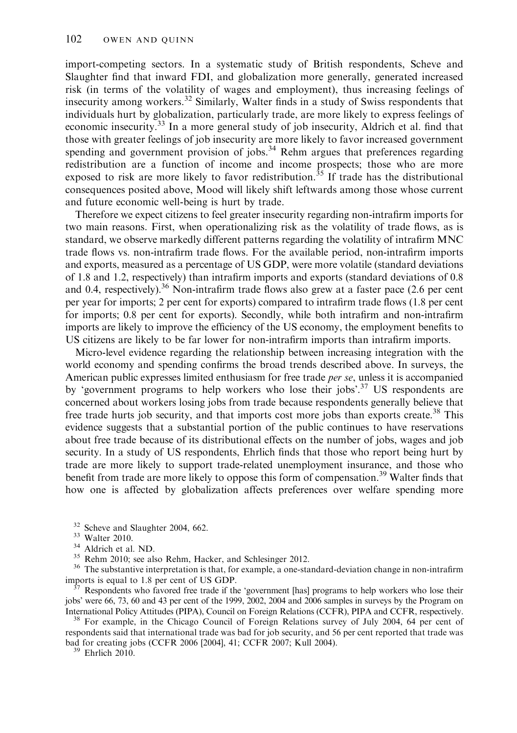import-competing sectors. In a systematic study of British respondents, Scheve and Slaughter find that inward FDI, and globalization more generally, generated increased risk (in terms of the volatility of wages and employment), thus increasing feelings of insecurity among workers.<sup>32</sup> Similarly, Walter finds in a study of Swiss respondents that individuals hurt by globalization, particularly trade, are more likely to express feelings of economic insecurity.<sup>33</sup> In a more general study of job insecurity, Aldrich et al. find that those with greater feelings of job insecurity are more likely to favor increased government spending and government provision of jobs.<sup>34</sup> Rehm argues that preferences regarding redistribution are a function of income and income prospects; those who are more exposed to risk are more likely to favor redistribution.<sup>35</sup> If trade has the distributional consequences posited above, Mood will likely shift leftwards among those whose current and future economic well-being is hurt by trade.

Therefore we expect citizens to feel greater insecurity regarding non-intrafirm imports for two main reasons. First, when operationalizing risk as the volatility of trade flows, as is standard, we observe markedly different patterns regarding the volatility of intrafirm MNC trade flows vs. non-intrafirm trade flows. For the available period, non-intrafirm imports and exports, measured as a percentage of US GDP, were more volatile (standard deviations of 1.8 and 1.2, respectively) than intrafirm imports and exports (standard deviations of 0.8 and 0.4, respectively).<sup>36</sup> Non-intrafirm trade flows also grew at a faster pace (2.6 per cent per year for imports; 2 per cent for exports) compared to intrafirm trade flows (1.8 per cent for imports; 0.8 per cent for exports). Secondly, while both intrafirm and non-intrafirm imports are likely to improve the efficiency of the US economy, the employment benefits to US citizens are likely to be far lower for non-intrafirm imports than intrafirm imports.

Micro-level evidence regarding the relationship between increasing integration with the world economy and spending confirms the broad trends described above. In surveys, the American public expresses limited enthusiasm for free trade *per se*, unless it is accompanied by 'government programs to help workers who lose their jobs'.<sup>37</sup> US respondents are concerned about workers losing jobs from trade because respondents generally believe that free trade hurts job security, and that imports cost more jobs than exports create.<sup>38</sup> This evidence suggests that a substantial portion of the public continues to have reservations about free trade because of its distributional effects on the number of jobs, wages and job security. In a study of US respondents, Ehrlich finds that those who report being hurt by trade are more likely to support trade-related unemployment insurance, and those who benefit from trade are more likely to oppose this form of compensation.<sup>39</sup> Walter finds that how one is affected by globalization affects preferences over welfare spending more

<sup>32</sup> Scheve and Slaughter [2004,](#page-28-0) 662.<br><sup>33</sup> Walter [2010.](#page-28-0)<br><sup>34</sup> [Aldrich et al. ND.](#page-25-0)<br><sup>35</sup> Rehm [2010](#page-28-0); see also Rehm, Hacker, and Schlesinger [2012](#page-28-0).<br><sup>36</sup> The substantive interpretation is that, for example, a one-standard-deviatio imports is equal to 1.8 per cent of US GDP.<br> $\frac{37}{10}$  Respondents who favored free trade if the 'government [has] programs to help workers who lose their

jobs' were 66, 73, 60 and 43 per cent of the 1999, 2002, 2004 and 2006 samples in surveys by the Program on

International Policy Attitudes (PIPA), Council on Foreign Relations (CCFR), PIPA and CCFR, respectively. <sup>38</sup> For example, in the Chicago Council of Foreign Relations survey of July 2004, 64 per cent of respondents said that international trade was bad for job security, and 56 per cent reported that trade was bad for creating jobs (CCFR [2006](#page-26-0) [2004], 41; CCFR 2007; Kull [2004](#page-27-0)). <sup>39</sup> Ehrlich [2010.](#page-26-0)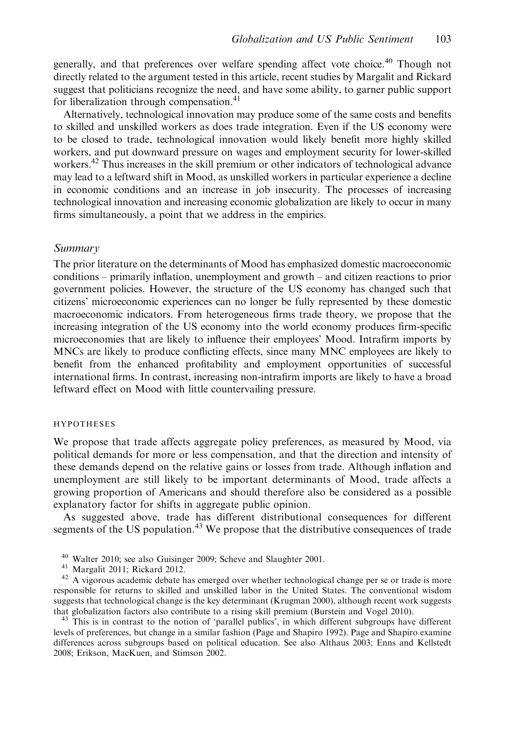generally, and that preferences over welfare spending affect vote choice.<sup>40</sup> Though not directly related to the argument tested in this article, recent studies by Margalit and Rickard suggest that politicians recognize the need, and have some ability, to garner public support for liberalization through compensation. $41$ 

Alternatively, technological innovation may produce some of the same costs and benefits to skilled and unskilled workers as does trade integration. Even if the US economy were to be closed to trade, technological innovation would likely benefit more highly skilled workers, and put downward pressure on wages and employment security for lower-skilled workers.<sup>42</sup> Thus increases in the skill premium or other indicators of technological advance may lead to a leftward shift in Mood, as unskilled workers in particular experience a decline in economic conditions and an increase in job insecurity. The processes of increasing technological innovation and increasing economic globalization are likely to occur in many firms simultaneously, a point that we address in the empirics.

# **Summary**

The prior literature on the determinants of Mood has emphasized domestic macroeconomic conditions – primarily inflation, unemployment and growth – and citizen reactions to prior government policies. However, the structure of the US economy has changed such that citizens' microeconomic experiences can no longer be fully represented by these domestic macroeconomic indicators. From heterogeneous firms trade theory, we propose that the increasing integration of the US economy into the world economy produces firm-specific microeconomies that are likely to influence their employees' Mood. Intrafirm imports by MNCs are likely to produce conflicting effects, since many MNC employees are likely to benefit from the enhanced profitability and employment opportunities of successful international firms. In contrast, increasing non-intrafirm imports are likely to have a broad leftward effect on Mood with little countervailing pressure.

#### HYPOTHESES

We propose that trade affects aggregate policy preferences, as measured by Mood, via political demands for more or less compensation, and that the direction and intensity of these demands depend on the relative gains or losses from trade. Although inflation and unemployment are still likely to be important determinants of Mood, trade affects a growing proportion of Americans and should therefore also be considered as a possible explanatory factor for shifts in aggregate public opinion.

As suggested above, trade has different distributional consequences for different segments of the US population.<sup>43</sup> We propose that the distributive consequences of trade

- 
- 

<sup>40</sup> Walter [2010;](#page-28-0) see also Guisinger [2009;](#page-27-0) Scheve and Slaughter [2001](#page-28-0).<br><sup>41</sup> Margalit [2011;](#page-27-0) Rickard [2012.](#page-28-0)<br><sup>42</sup> A vigorous academic debate has emerged over whether technological change per se or trade is more responsible for returns to skilled and unskilled labor in the United States. The conventional wisdom suggests that technological change is the key determinant (Krugman [2000](#page-27-0)), although recent work suggests that globalization factors also contribute to a rising skill premium (Burstein and Vogel 2010).

<sup>43</sup> This is in contrast to the notion of 'parallel publics', in which different subgroups have different levels of preferences, but change in a similar fashion (Page and Shapiro [1992](#page-27-0)). Page and Shapiro examine differences across subgroups based on political education. See also Althaus [2003;](#page-26-0) Enns and Kellstedt [2008;](#page-26-0) Erikson, MacKuen, and Stimson [2002.](#page-26-0)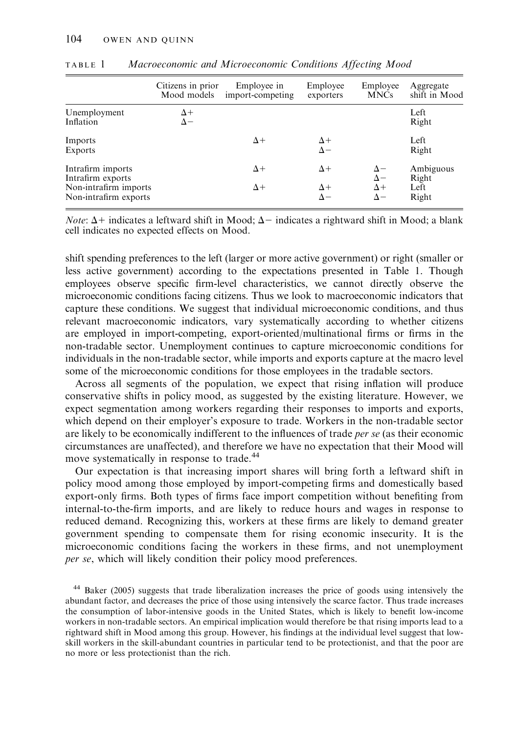|                                                | Citizens in prior<br>Mood models | Employee in<br>import-competing | Employee<br>exporters | Employee<br><b>MNCs</b>  | Aggregate<br>shift in Mood |
|------------------------------------------------|----------------------------------|---------------------------------|-----------------------|--------------------------|----------------------------|
| Unemployment<br>Inflation                      | $\Delta +$<br>$\Delta-$          |                                 |                       |                          | Left<br>Right              |
| Imports<br>Exports                             |                                  | $\Delta +$                      | $\Delta +$<br>Δ-      |                          | Left<br>Right              |
| Intrafirm imports<br>Intrafirm exports         |                                  | $\Delta +$                      | $\Delta +$            | $\Delta-$<br>$\Delta-$   | Ambiguous<br>Right         |
| Non-intrafirm imports<br>Non-intrafirm exports |                                  | $\Delta +$                      | Δ+<br>$\Lambda -$     | $\Delta +$<br>$\Delta -$ | Left<br>Right              |

TABLE 1 Macroeconomic and Microeconomic Conditions Affecting Mood

*Note*:  $\Delta$ + indicates a leftward shift in Mood;  $\Delta$  – indicates a rightward shift in Mood; a blank cell indicates no expected effects on Mood.

shift spending preferences to the left (larger or more active government) or right (smaller or less active government) according to the expectations presented in Table 1. Though employees observe specific firm-level characteristics, we cannot directly observe the microeconomic conditions facing citizens. Thus we look to macroeconomic indicators that capture these conditions. We suggest that individual microeconomic conditions, and thus relevant macroeconomic indicators, vary systematically according to whether citizens are employed in import-competing, export-oriented/multinational firms or firms in the non-tradable sector. Unemployment continues to capture microeconomic conditions for individuals in the non-tradable sector, while imports and exports capture at the macro level some of the microeconomic conditions for those employees in the tradable sectors.

Across all segments of the population, we expect that rising inflation will produce conservative shifts in policy mood, as suggested by the existing literature. However, we expect segmentation among workers regarding their responses to imports and exports, which depend on their employer's exposure to trade. Workers in the non-tradable sector are likely to be economically indifferent to the influences of trade *per se* (as their economic circumstances are unaffected), and therefore we have no expectation that their Mood will move systematically in response to trade.<sup>44</sup>

Our expectation is that increasing import shares will bring forth a leftward shift in policy mood among those employed by import-competing firms and domestically based export-only firms. Both types of firms face import competition without benefiting from internal-to-the-firm imports, and are likely to reduce hours and wages in response to reduced demand. Recognizing this, workers at these firms are likely to demand greater government spending to compensate them for rising economic insecurity. It is the microeconomic conditions facing the workers in these firms, and not unemployment per se, which will likely condition their policy mood preferences.

<sup>44</sup> Baker ([2005\)](#page-26-0) suggests that trade liberalization increases the price of goods using intensively the abundant factor, and decreases the price of those using intensively the scarce factor. Thus trade increases the consumption of labor-intensive goods in the United States, which is likely to benefit low-income workers in non-tradable sectors. An empirical implication would therefore be that rising imports lead to a rightward shift in Mood among this group. However, his findings at the individual level suggest that lowskill workers in the skill-abundant countries in particular tend to be protectionist, and that the poor are no more or less protectionist than the rich.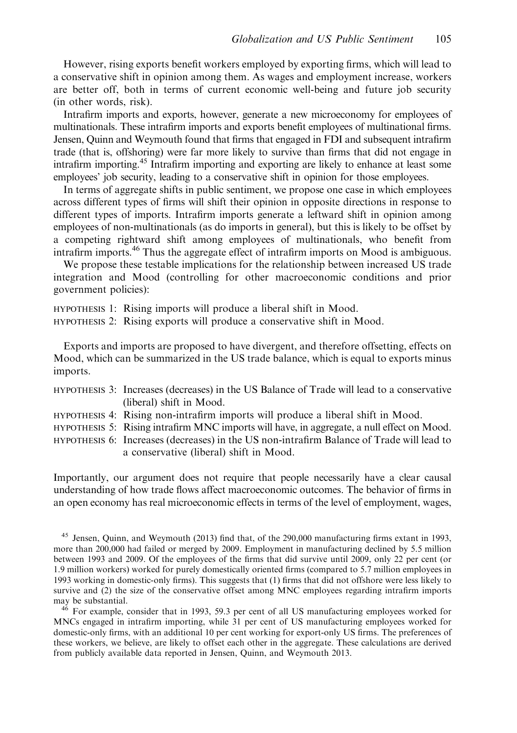However, rising exports benefit workers employed by exporting firms, which will lead to a conservative shift in opinion among them. As wages and employment increase, workers are better off, both in terms of current economic well-being and future job security (in other words, risk).

Intrafirm imports and exports, however, generate a new microeconomy for employees of multinationals. These intrafirm imports and exports benefit employees of multinational firms. Jensen, Quinn and Weymouth found that firms that engaged in FDI and subsequent intrafirm trade (that is, offshoring) were far more likely to survive than firms that did not engage in intrafirm importing.45 Intrafirm importing and exporting are likely to enhance at least some employees' job security, leading to a conservative shift in opinion for those employees.

In terms of aggregate shifts in public sentiment, we propose one case in which employees across different types of firms will shift their opinion in opposite directions in response to different types of imports. Intrafirm imports generate a leftward shift in opinion among employees of non-multinationals (as do imports in general), but this is likely to be offset by a competing rightward shift among employees of multinationals, who benefit from intrafirm imports.<sup>46</sup> Thus the aggregate effect of intrafirm imports on Mood is ambiguous.

We propose these testable implications for the relationship between increased US trade integration and Mood (controlling for other macroeconomic conditions and prior government policies):

HYPOTHESIS 1: Rising imports will produce a liberal shift in Mood.

HYPOTHESIS 2: Rising exports will produce a conservative shift in Mood.

Exports and imports are proposed to have divergent, and therefore offsetting, effects on Mood, which can be summarized in the US trade balance, which is equal to exports minus imports.

| HYPOTHESIS 3: Increases (decreases) in the US Balance of Trade will lead to a conservative |
|--------------------------------------------------------------------------------------------|
| (liberal) shift in Mood.                                                                   |

- HYPOTHESIS 4: Rising non-intrafirm imports will produce a liberal shift in Mood.
- HYPOTHESIS 5: Rising intrafirm MNC imports will have, in aggregate, a null effect on Mood.
- HYPOTHESIS 6: Increases (decreases) in the US non-intrafirm Balance of Trade will lead to a conservative (liberal) shift in Mood.

Importantly, our argument does not require that people necessarily have a clear causal understanding of how trade flows affect macroeconomic outcomes. The behavior of firms in an open economy has real microeconomic effects in terms of the level of employment, wages,

may be substantial.<br><sup>46</sup> For example, consider that in 1993, 59.3 per cent of all US manufacturing employees worked for MNCs engaged in intrafirm importing, while 31 per cent of US manufacturing employees worked for domestic-only firms, with an additional 10 per cent working for export-only US firms. The preferences of these workers, we believe, are likely to offset each other in the aggregate. These calculations are derived from publicly available data reported in Jensen, Quinn, and Weymouth [2013.](#page-27-0)

<sup>&</sup>lt;sup>45</sup> Jensen, Quinn, and Weymouth [\(2013](#page-27-0)) find that, of the 290,000 manufacturing firms extant in 1993, more than 200,000 had failed or merged by 2009. Employment in manufacturing declined by 5.5 million between 1993 and 2009. Of the employees of the firms that did survive until 2009, only 22 per cent (or 1.9 million workers) worked for purely domestically oriented firms (compared to 5.7 million employees in 1993 working in domestic-only firms). This suggests that (1) firms that did not offshore were less likely to survive and (2) the size of the conservative offset among MNC employees regarding intrafirm imports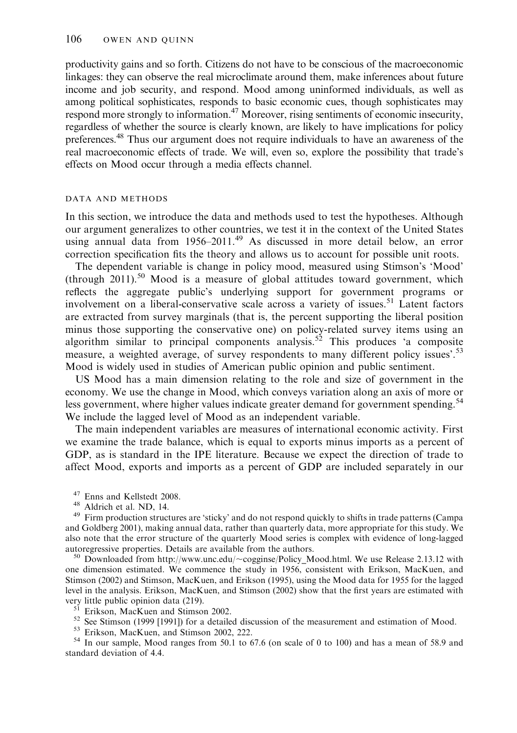productivity gains and so forth. Citizens do not have to be conscious of the macroeconomic linkages: they can observe the real microclimate around them, make inferences about future income and job security, and respond. Mood among uninformed individuals, as well as among political sophisticates, responds to basic economic cues, though sophisticates may respond more strongly to information.47 Moreover, rising sentiments of economic insecurity, regardless of whether the source is clearly known, are likely to have implications for policy preferences.48 Thus our argument does not require individuals to have an awareness of the real macroeconomic effects of trade. We will, even so, explore the possibility that trade's effects on Mood occur through a media effects channel.

#### DATA AND METHODS

In this section, we introduce the data and methods used to test the hypotheses. Although our argument generalizes to other countries, we test it in the context of the United States using annual data from  $1956-2011^{49}$  As discussed in more detail below, an error correction specification fits the theory and allows us to account for possible unit roots.

The dependent variable is change in policy mood, measured using Stimson's 'Mood'  $(throught 2011).<sup>50</sup>$  Mood is a measure of global attitudes toward government, which reflects the aggregate public's underlying support for government programs or involvement on a liberal-conservative scale across a variety of issues.<sup>51</sup> Latent factors are extracted from survey marginals (that is, the percent supporting the liberal position minus those supporting the conservative one) on policy-related survey items using an algorithm similar to principal components analysis.<sup>52</sup> This produces 'a composite measure, a weighted average, of survey respondents to many different policy issues'.<sup>53</sup> Mood is widely used in studies of American public opinion and public sentiment.

US Mood has a main dimension relating to the role and size of government in the economy. We use the change in Mood, which conveys variation along an axis of more or less government, where higher values indicate greater demand for government spending.<sup>54</sup> We include the lagged level of Mood as an independent variable.

The main independent variables are measures of international economic activity. First we examine the trade balance, which is equal to exports minus imports as a percent of GDP, as is standard in the IPE literature. Because we expect the direction of trade to affect Mood, exports and imports as a percent of GDP are included separately in our

one dimension estimated. We commence the study in 1956, consistent with Erikson, MacKuen, and Stimson ([2002\)](#page-26-0) and Stimson, MacKuen, and Erikson ([1995](#page-28-0)), using the Mood data for 1955 for the lagged level in the analysis. Erikson, MacKuen, and Stimson [\(2002](#page-26-0)) show that the first years are estimated with

very little public opinion data (219).<br><sup>51</sup> Erikson, MacKuen and Stimson [2002.](#page-26-0)<br><sup>52</sup> See Stimson [\(1999](#page-28-0) [1991]) for a detailed discussion of the measurement and estimation of Mood.<br><sup>52</sup> See Stimson (1999 [1991]) for a detai standard deviation of 4.4.

<sup>&</sup>lt;sup>47</sup> Enns and Kellstedt [2008](#page-26-0).<br><sup>48</sup> [Aldrich et al. ND,](#page-25-0) 14.<br><sup>49</sup> Firm production structures are 'sticky' and do not respond quickly to shifts in trade patterns (Campa and Goldberg [2001](#page-26-0)), making annual data, rather than quarterly data, more appropriate for this study. We also note that the error structure of the quarterly Mood series is complex with evidence of long-lagged autoregressive properties. Details are available from the authors.<br><sup>50</sup> Downloaded from http://www.unc.edu/~cogginse/Policy\_Mood.html. We use Release 2.13.12 with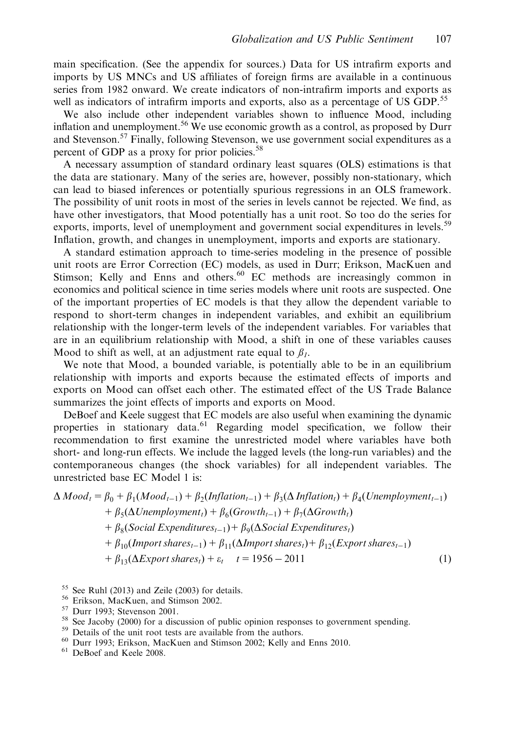main specification. (See the appendix for sources.) Data for US intrafirm exports and imports by US MNCs and US affiliates of foreign firms are available in a continuous series from 1982 onward. We create indicators of non-intrafirm imports and exports as well as indicators of intrafirm imports and exports, also as a percentage of US GDP.<sup>55</sup>

We also include other independent variables shown to influence Mood, including inflation and unemployment.<sup>56</sup> We use economic growth as a control, as proposed by Durr and Stevenson.<sup>57</sup> Finally, following Stevenson, we use government social expenditures as a percent of GDP as a proxy for prior policies.<sup>58</sup>

A necessary assumption of standard ordinary least squares (OLS) estimations is that the data are stationary. Many of the series are, however, possibly non-stationary, which can lead to biased inferences or potentially spurious regressions in an OLS framework. The possibility of unit roots in most of the series in levels cannot be rejected. We find, as have other investigators, that Mood potentially has a unit root. So too do the series for exports, imports, level of unemployment and government social expenditures in levels.<sup>59</sup> Inflation, growth, and changes in unemployment, imports and exports are stationary.

A standard estimation approach to time-series modeling in the presence of possible unit roots are Error Correction (EC) models, as used in Durr; Erikson, MacKuen and Stimson; Kelly and Enns and others.<sup>60</sup> EC methods are increasingly common in economics and political science in time series models where unit roots are suspected. One of the important properties of EC models is that they allow the dependent variable to respond to short-term changes in independent variables, and exhibit an equilibrium relationship with the longer-term levels of the independent variables. For variables that are in an equilibrium relationship with Mood, a shift in one of these variables causes Mood to shift as well, at an adjustment rate equal to  $\beta_l$ .

We note that Mood, a bounded variable, is potentially able to be in an equilibrium relationship with imports and exports because the estimated effects of imports and exports on Mood can offset each other. The estimated effect of the US Trade Balance summarizes the joint effects of imports and exports on Mood.

DeBoef and Keele suggest that EC models are also useful when examining the dynamic properties in stationary data.<sup>61</sup> Regarding model specification, we follow their recommendation to first examine the unrestricted model where variables have both short- and long-run effects. We include the lagged levels (the long-run variables) and the contemporaneous changes (the shock variables) for all independent variables. The unrestricted base EC Model 1 is:

$$
\Delta \text{Mod}_t = \beta_0 + \beta_1 (\text{Mod}_{t-1}) + \beta_2 (\text{Inflation}_{t-1}) + \beta_3 (\Delta \text{Inflation}_t) + \beta_4 (\text{Unemployment}_{t-1}) + \beta_5 (\Delta \text{Unemployment}_t) + \beta_6 (\text{Growth}_{t-1}) + \beta_7 (\Delta \text{Growth}_t) + \beta_8 (\text{Social Expenditures}_{t-1}) + \beta_9 (\Delta \text{Social Expenditures}_t) + \beta_{10} (\text{Import shares}_{t-1}) + \beta_{11} (\Delta \text{Import shares}_t) + \beta_{12} (\text{Export shares}_{t-1}) + \beta_{13} (\Delta \text{Export shares}_t) + \varepsilon_t \quad t = 1956 - 2011
$$
 (1)

- 
- 
- 
- <sup>55</sup> See Ruhl ([2013\)](#page-28-0) and Zeile [\(2003](#page-29-0)) for details.<br><sup>56</sup> Erikson, MacKuen, and Stimson [2002.](#page-26-0)<br><sup>57</sup> Durr [1993](#page-26-0); Stevenson [2001](#page-28-0).<br><sup>58</sup> See Jacoby ([2000\)](#page-27-0) for a discussion of public opinion responses to government spending.<br><sup>59</sup>
- 
- 
-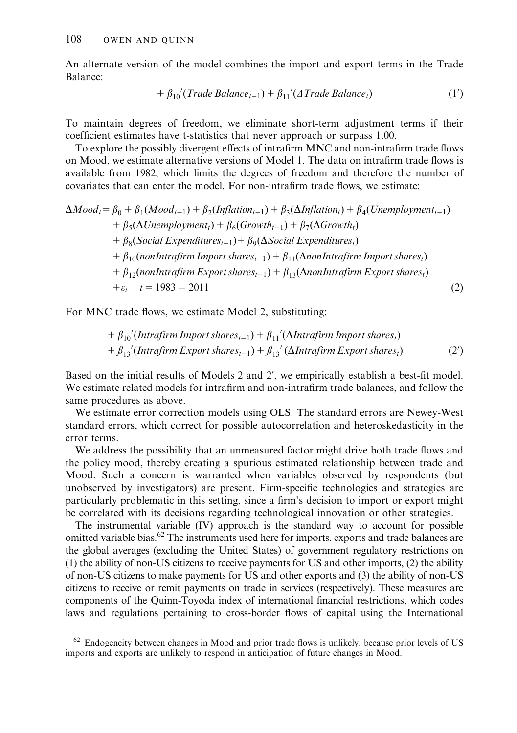An alternate version of the model combines the import and export terms in the Trade Balance:

$$
+\beta_{10}'(Trade\ Balance_{t-1}) + \beta_{11}'(\angle Trade\ Balance_{t})
$$
\n(1')

To maintain degrees of freedom, we eliminate short-term adjustment terms if their coefficient estimates have t-statistics that never approach or surpass 1.00.

To explore the possibly divergent effects of intrafirm MNC and non-intrafirm trade flows on Mood, we estimate alternative versions of Model 1. The data on intrafirm trade flows is available from 1982, which limits the degrees of freedom and therefore the number of covariates that can enter the model. For non-intrafirm trade flows, we estimate:

$$
\Delta Mood_t = \beta_0 + \beta_1(Mood_{t-1}) + \beta_2(Inflation_{t-1}) + \beta_3(\Delta Inflation_t) + \beta_4(Unemployment_{t-1}) + \beta_5(\Delta Unemployment_t) + \beta_6(Growth_{t-1}) + \beta_7(\Delta Growth_t) + \beta_8(Social Expenditures_{t-1}) + \beta_9(\Delta Social Expenditures_t) + \beta_{10}(nonIntrafirm Import shares_{t-1}) + \beta_{11}(\Delta nonIntrafirm Import shares_t) + \beta_{12}(nonIntrafirm Export shares_{t-1}) + \beta_{13}(\Delta nonIntrafirm Export shares_t) + \varepsilon_t \quad t = 1983 - 2011
$$
 (2)

For MNC trade flows, we estimate Model 2, substituting:

+ 
$$
\beta_{10}
$$
' (Intrafirm Import shares<sub>t-1</sub>) +  $\beta_{11}$ ' ( $\Delta Intrafirm Import sharest)$   
+  $\beta_{13}$ ' (Intrafirm Export shares<sub>t-1</sub>) +  $\beta_{13}$ ' ( $\Delta Intrafirm Exports harest)$  (2')

Based on the initial results of Models 2 and 2', we empirically establish a best-fit model. We estimate related models for intrafirm and non-intrafirm trade balances, and follow the same procedures as above.

We estimate error correction models using OLS. The standard errors are Newey-West standard errors, which correct for possible autocorrelation and heteroskedasticity in the error terms.

We address the possibility that an unmeasured factor might drive both trade flows and the policy mood, thereby creating a spurious estimated relationship between trade and Mood. Such a concern is warranted when variables observed by respondents (but unobserved by investigators) are present. Firm-specific technologies and strategies are particularly problematic in this setting, since a firm's decision to import or export might be correlated with its decisions regarding technological innovation or other strategies.

The instrumental variable (IV) approach is the standard way to account for possible omitted variable bias. $62$  The instruments used here for imports, exports and trade balances are the global averages (excluding the United States) of government regulatory restrictions on (1) the ability of non-US citizens to receive payments for US and other imports, (2) the ability of non-US citizens to make payments for US and other exports and (3) the ability of non-US citizens to receive or remit payments on trade in services (respectively). These measures are components of the Quinn-Toyoda index of international financial restrictions, which codes laws and regulations pertaining to cross-border flows of capital using the International

 $62$  Endogeneity between changes in Mood and prior trade flows is unlikely, because prior levels of US imports and exports are unlikely to respond in anticipation of future changes in Mood.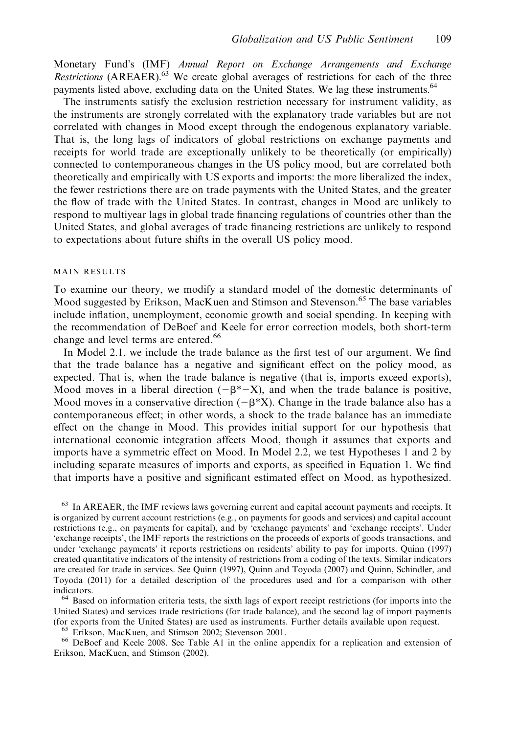Monetary Fund's (IMF) Annual Report on Exchange Arrangements and Exchange *Restrictions* ( $AREAER$ ).<sup>63</sup> We create global averages of restrictions for each of the three payments listed above, excluding data on the United States. We lag these instruments.<sup>64</sup>

The instruments satisfy the exclusion restriction necessary for instrument validity, as the instruments are strongly correlated with the explanatory trade variables but are not correlated with changes in Mood except through the endogenous explanatory variable. That is, the long lags of indicators of global restrictions on exchange payments and receipts for world trade are exceptionally unlikely to be theoretically (or empirically) connected to contemporaneous changes in the US policy mood, but are correlated both theoretically and empirically with US exports and imports: the more liberalized the index, the fewer restrictions there are on trade payments with the United States, and the greater the flow of trade with the United States. In contrast, changes in Mood are unlikely to respond to multiyear lags in global trade financing regulations of countries other than the United States, and global averages of trade financing restrictions are unlikely to respond to expectations about future shifts in the overall US policy mood.

## MAIN RESULTS

To examine our theory, we modify a standard model of the domestic determinants of Mood suggested by Erikson, MacKuen and Stimson and Stevenson.<sup>65</sup> The base variables include inflation, unemployment, economic growth and social spending. In keeping with the recommendation of DeBoef and Keele for error correction models, both short-term change and level terms are entered. $66$ 

In Model 2.1, we include the trade balance as the first test of our argument. We find that the trade balance has a negative and significant effect on the policy mood, as expected. That is, when the trade balance is negative (that is, imports exceed exports), Mood moves in a liberal direction  $(-\beta^*-\mathrm{X})$ , and when the trade balance is positive, Mood moves in a conservative direction  $(-\beta^*X)$ . Change in the trade balance also has a contemporaneous effect; in other words, a shock to the trade balance has an immediate effect on the change in Mood. This provides initial support for our hypothesis that international economic integration affects Mood, though it assumes that exports and imports have a symmetric effect on Mood. In Model 2.2, we test Hypotheses 1 and 2 by including separate measures of imports and exports, as specified in Equation 1. We find that imports have a positive and significant estimated effect on Mood, as hypothesized.

<sup>63</sup> In AREAER, the IMF reviews laws governing current and capital account payments and receipts. It is organized by current account restrictions (e.g., on payments for goods and services) and capital account restrictions (e.g., on payments for capital), and by 'exchange payments' and 'exchange receipts'. Under 'exchange receipts', the IMF reports the restrictions on the proceeds of exports of goods transactions, and under 'exchange payments' it reports restrictions on residents' ability to pay for imports. Quinn [\(1997\)](#page-28-0) created quantitative indicators of the intensity of restrictions from a coding of the texts. Similar indicators are created for trade in services. See Quinn ([1997\)](#page-28-0), Quinn and Toyoda [\(2007](#page-28-0)) and Quinn, Schindler, and Toyoda [\(2011](#page-28-0)) for a detailed description of the procedures used and for a comparison with other indicators.<br><sup>64</sup> Based on information criteria tests, the sixth lags of export receipt restrictions (for imports into the

United States) and services trade restrictions (for trade balance), and the second lag of import payments (for exports from the United States) are used as instruments. Further details available upon request.

 $^{65}$  Erikson, MacKuen, and Stimson [2002;](#page-26-0) Stevenson [2001](#page-28-0).<br> $^{66}$  DeBoef and Keele [2008.](#page-26-0) See Table A1 in the online appendix for a replication and extension of Erikson, MacKuen, and Stimson ([2002](#page-26-0)).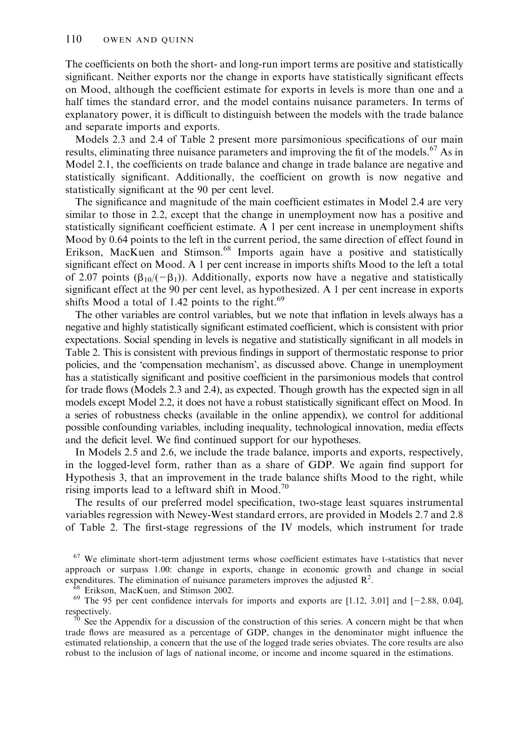The coefficients on both the short- and long-run import terms are positive and statistically significant. Neither exports nor the change in exports have statistically significant effects on Mood, although the coefficient estimate for exports in levels is more than one and a half times the standard error, and the model contains nuisance parameters. In terms of explanatory power, it is difficult to distinguish between the models with the trade balance and separate imports and exports.

Models 2.3 and 2.4 of [Table 2](#page-16-0) present more parsimonious specifications of our main results, eliminating three nuisance parameters and improving the fit of the models.<sup>67</sup> As in Model 2.1, the coefficients on trade balance and change in trade balance are negative and statistically significant. Additionally, the coefficient on growth is now negative and statistically significant at the 90 per cent level.

The significance and magnitude of the main coefficient estimates in Model 2.4 are very similar to those in 2.2, except that the change in unemployment now has a positive and statistically significant coefficient estimate. A 1 per cent increase in unemployment shifts Mood by 0.64 points to the left in the current period, the same direction of effect found in Erikson, MacKuen and Stimson.<sup>68</sup> Imports again have a positive and statistically significant effect on Mood. A 1 per cent increase in imports shifts Mood to the left a total of 2.07 points  $(\beta_{10}/(-\beta_1))$ . Additionally, exports now have a negative and statistically significant effect at the 90 per cent level, as hypothesized. A 1 per cent increase in exports shifts Mood a total of 1.42 points to the right. $^{69}$ 

The other variables are control variables, but we note that inflation in levels always has a negative and highly statistically significant estimated coefficient, which is consistent with prior expectations. Social spending in levels is negative and statistically significant in all models in [Table 2](#page-16-0). This is consistent with previous findings in support of thermostatic response to prior policies, and the 'compensation mechanism', as discussed above. Change in unemployment has a statistically significant and positive coefficient in the parsimonious models that control for trade flows (Models 2.3 and 2.4), as expected. Though growth has the expected sign in all models except Model 2.2, it does not have a robust statistically significant effect on Mood. In a series of robustness checks (available in the online appendix), we control for additional possible confounding variables, including inequality, technological innovation, media effects and the deficit level. We find continued support for our hypotheses.

In Models 2.5 and 2.6, we include the trade balance, imports and exports, respectively, in the logged-level form, rather than as a share of GDP. We again find support for Hypothesis 3, that an improvement in the trade balance shifts Mood to the right, while rising imports lead to a leftward shift in Mood.<sup>70</sup>

The results of our preferred model specification, two-stage least squares instrumental variables regression with Newey-West standard errors, are provided in Models 2.7 and 2.8 of [Table 2](#page-16-0). The first-stage regressions of the IV models, which instrument for trade

 $67$  We eliminate short-term adjustment terms whose coefficient estimates have t-statistics that never approach or surpass 1.00: change in exports, change in economic growth and change in social expenditures. The elimination of nuisance parameters improves the adjusted  $\mathbb{R}^2$ .<br><sup>68</sup> Erikson, MacKuen, and Stimson 2002.

<sup>69</sup> The 95 per cent confidence intervals for imports and exports are [1.12, 3.01] and [-2.88, 0.04], respectively.<br><sup>70</sup> See the Appendix for a discussion of the construction of this series. A conserp might be that what

See the Appendix for a discussion of the construction of this series. A concern might be that when trade flows are measured as a percentage of GDP, changes in the denominator might influence the estimated relationship, a concern that the use of the logged trade series obviates. The core results are also robust to the inclusion of lags of national income, or income and income squared in the estimations.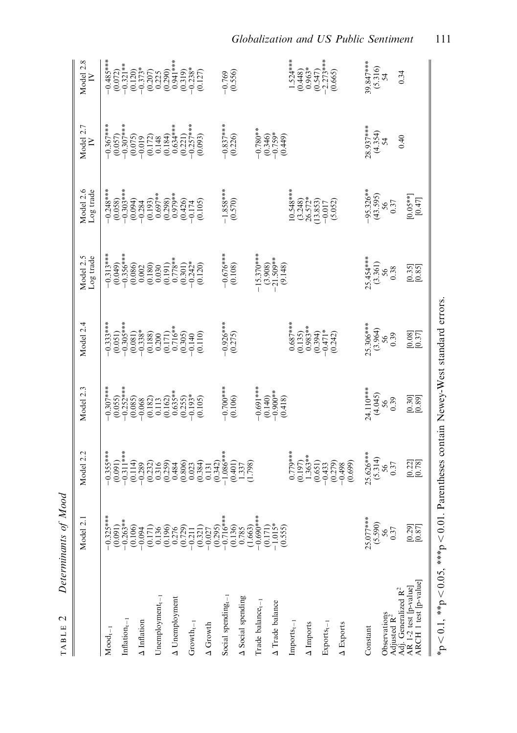<span id="page-16-0"></span>

| $\mathbf 2$<br>ABLE<br>Н                       | f Mood<br>Determinants o                                   |                                                            |                                   |                        |                                                           |                                                              |                        |                                     |
|------------------------------------------------|------------------------------------------------------------|------------------------------------------------------------|-----------------------------------|------------------------|-----------------------------------------------------------|--------------------------------------------------------------|------------------------|-------------------------------------|
|                                                | 2.1<br>Model                                               | Model 2.2                                                  | Model 2.3                         | Model 2.4              | Model 2.5<br>Log trade                                    | Model 2.6<br>Log trade                                       | Model 2.               | Model 2.8                           |
| $\mathbf{Mod}_{t-1}$                           | $-0.325***$<br>(0.091)                                     | $-0.35$ \$***                                              | $-0.307$ ***                      | $-0.333***$            | $-0.313***$<br>(0.049)                                    | $-0.248***$                                                  | $-0.367***$            | $-0.485***$                         |
| Inflation $_{t-1}$                             | $-0.263**$                                                 | $(0.091)$<br>-0.311***                                     | $(0.055)$<br>-0.252***            | $(0.051)$<br>-0.305*** | $-0.356***$                                               | $(0.058)$<br>-0.303***                                       | $(0.057)$<br>-0.307*** | $(0.072)$<br>-0.321**               |
| A Inflation                                    | (0.106)<br>$-0.094$                                        | $(0.114)$<br>$-0.289$                                      | (0.085)                           | $(0.081)$<br>$-0.338*$ | $\begin{array}{c} (0.086) \\ 0.002 \\ 0.180) \end{array}$ | $(0.094)$<br>$-0.284$                                        | $(0.075)$<br>-0.019    | $(0.120)$<br>$-0.373*$<br>$(0.207)$ |
| $Unemplogment_{t-1}$                           | (0.171)                                                    | (0.232)                                                    | $\frac{-0.068}{(0.182)}$<br>0.113 | (0.188)<br>0.200       | 0.030                                                     | (0.193)                                                      | (0.172)<br>0.148       |                                     |
|                                                | $\begin{array}{c} 0.136 \\ 0.196 \end{array}$              | $\begin{array}{c} 0.316 \\ 0.259 \end{array}$<br>0.484     | $0.635**$<br>(0.162)              | $0.716**$<br>(0.171)   | $0.778**$<br>(0.191)                                      | $0.697**$<br>(0.298)<br>0.979**                              | $0.634***$<br>(0.184)  | $0.941**$<br>$\frac{0.225}{0.290}$  |
| A Unemployment                                 | $\begin{array}{c} 0.276 \\ 0.729 \end{array}$              | (0.806)                                                    | (0.255)                           | (0.305)                | (0.301)                                                   | (0.426)                                                      | (0.221)                | $(0.319)$<br>$-0.238*$              |
| $\mbox{Group}_{t-1}$                           | $\begin{array}{c} -0.211 \\ -0.321) \\ -0.027 \end{array}$ | 0.023                                                      | $-0.193*$<br>(0.105)              | (0.110)<br>$-0.140$    | $-0.242*$<br>(0.120)                                      | (0.105)<br>$-0.174$                                          | $-0.257***$<br>(0.093) | (0.127)                             |
| A Growth                                       |                                                            | $\begin{array}{c} (0.384) \\ 0.131 \end{array}$<br>(0.342) |                                   |                        |                                                           |                                                              |                        |                                     |
| Social spending <sub>t-1</sub>                 | $(0.295)$<br>-0.716***                                     | $-1.086***$                                                | $-0.700$ ***                      | $-0.926***$            | $-0.676***$                                               | $-1.858***$                                                  | $-0.837***$<br>(0.226) | $-0.769$                            |
| A Social spending                              | $\frac{(0.136)}{0.785}$                                    | (0.401)<br>1.337                                           | (0.106)                           | (0.275)                | (0.108)                                                   | (0.570)                                                      |                        | (0.556)                             |
| Trade balance $_{t-1}$                         | $(1.663)$<br>$-0.690***$                                   | (1.798)                                                    | $-0.691***$                       |                        | $-15.370***$                                              |                                                              | $-0.780**$             |                                     |
| A Trade balance                                | $(0.171)$<br>-1.015*                                       |                                                            | $-0.900**$<br>(0.140)             |                        | $-21.509**$<br>(3.908)                                    |                                                              | $(0.346)$<br>-0.759*   |                                     |
|                                                | (0.555)                                                    |                                                            | (0.418)                           |                        | (9.148)                                                   |                                                              | (0.449)                |                                     |
| $Imports_{t-1}$                                |                                                            | $0.779***$<br>(0.197)                                      |                                   | $0.687***$<br>(0.135)  |                                                           | $\begin{array}{c} 10.548***\\ (3.248)\\ 26.572* \end{array}$ |                        | $1.524***$<br>(0.448)               |
| $\Delta$ Imports                               |                                                            | $1.363**$                                                  |                                   | $0.983**$              |                                                           |                                                              |                        | $0.963*$                            |
| $Exports_{t-1}$                                |                                                            | (0.651)<br>$-0.433$                                        |                                   | $-0.471*$<br>(0.394)   |                                                           | (13.853)<br>$-0.017$                                         |                        | $-2.273***$<br>(0.547)              |
|                                                |                                                            | (0.279)                                                    |                                   | (0.242)                |                                                           | (5.052)                                                      |                        | (0.665)                             |
| A Exports                                      |                                                            | $^{-0.498}_{(0.699)}$                                      |                                   |                        |                                                           |                                                              |                        |                                     |
| Constant                                       | $25.077***$                                                | 25.626***                                                  | 24.110***                         | 25.306***              | 25.454***                                                 | $-95.326**$                                                  | 28.937***              | 39.847***                           |
| Observations<br>Adjusted R <sup>2</sup>        | $(5.590)$<br>$56$                                          | $(5.314)$<br>56                                            | (4.045)<br>56                     | (3.964)<br>56          | $(3.361)$<br>$56$                                         | (43.595)<br>56                                               | (4.354)<br>54          | $(5.316)$<br>$54$                   |
| Adj. Generalized R                             | 0.37                                                       | 0.37                                                       | 0.39                              | 0.39                   | 0.38                                                      | 0.37                                                         | 0.40                   | 0.34                                |
| ARCH 1 test [p-value]<br>AR 1-2 test [p-value] | [0.29]                                                     | $\begin{bmatrix} 0.22 \\ 0.78 \end{bmatrix}$               | [0.30]                            | [0.37]                 | [0.35]                                                    | $0.05**$<br>[0.47]                                           |                        |                                     |
| * $p < 0.1$ , ** $p < 0.05$ , *** $p < 0.01$   |                                                            | . Parentheses contain Newey-West standard errors           |                                   |                        |                                                           |                                                              |                        |                                     |

Globalization and US Public Sentiment 111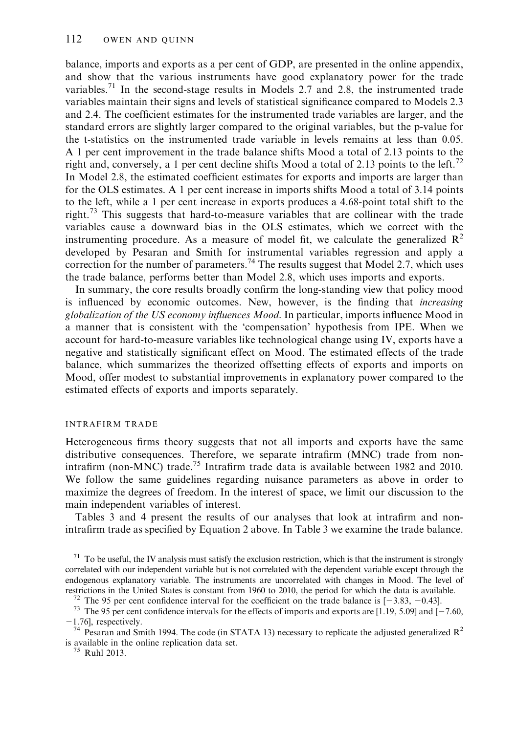balance, imports and exports as a per cent of GDP, are presented in the online appendix, and show that the various instruments have good explanatory power for the trade variables.<sup>71</sup> In the second-stage results in Models 2.7 and 2.8, the instrumented trade variables maintain their signs and levels of statistical significance compared to Models 2.3 and 2.4. The coefficient estimates for the instrumented trade variables are larger, and the standard errors are slightly larger compared to the original variables, but the p-value for the t-statistics on the instrumented trade variable in levels remains at less than 0.05. A 1 per cent improvement in the trade balance shifts Mood a total of 2.13 points to the right and, conversely, a 1 per cent decline shifts Mood a total of 2.13 points to the left.<sup>72</sup> In Model 2.8, the estimated coefficient estimates for exports and imports are larger than for the OLS estimates. A 1 per cent increase in imports shifts Mood a total of 3.14 points to the left, while a 1 per cent increase in exports produces a 4.68-point total shift to the right.<sup>73</sup> This suggests that hard-to-measure variables that are collinear with the trade variables cause a downward bias in the OLS estimates, which we correct with the instrumenting procedure. As a measure of model fit, we calculate the generalized  $\mathbb{R}^2$ developed by Pesaran and Smith for instrumental variables regression and apply a correction for the number of parameters.<sup>74</sup> The results suggest that Model 2.7, which uses the trade balance, performs better than Model 2.8, which uses imports and exports.

In summary, the core results broadly confirm the long-standing view that policy mood is influenced by economic outcomes. New, however, is the finding that *increasing* globalization of the US economy influences Mood. In particular, imports influence Mood in a manner that is consistent with the 'compensation' hypothesis from IPE. When we account for hard-to-measure variables like technological change using IV, exports have a negative and statistically significant effect on Mood. The estimated effects of the trade balance, which summarizes the theorized offsetting effects of exports and imports on Mood, offer modest to substantial improvements in explanatory power compared to the estimated effects of exports and imports separately.

#### INTRAFIRM TRADE

Heterogeneous firms theory suggests that not all imports and exports have the same distributive consequences. Therefore, we separate intrafirm (MNC) trade from nonintrafirm (non-MNC) trade.<sup>75</sup> Intrafirm trade data is available between 1982 and 2010. We follow the same guidelines regarding nuisance parameters as above in order to maximize the degrees of freedom. In the interest of space, we limit our discussion to the main independent variables of interest.

[Tables 3](#page-18-0) and [4](#page-19-0) present the results of our analyses that look at intrafirm and nonintrafirm trade as specified by Equation 2 above. In [Table 3](#page-18-0) we examine the trade balance.

 $71$  To be useful, the IV analysis must satisfy the exclusion restriction, which is that the instrument is strongly correlated with our independent variable but is not correlated with the dependent variable except through the endogenous explanatory variable. The instruments are uncorrelated with changes in Mood. The level of restrictions in the United States is constant from 1960 to 2010, the period for which the data is available.

<sup>74</sup> Pesaran and Smith [1994.](#page-28-0) The code (in STATA 13) necessary to replicate the adjusted generalized  $\mathbb{R}^2$ is available in the online replication data set.<br> $^{75}$  Ruhl [2013](#page-28-0).

<sup>&</sup>lt;sup>72</sup> The 95 per cent confidence interval for the coefficient on the trade balance is  $[-3.83, -0.43]$ .<br><sup>73</sup> The 95 per cent confidence intervals for the effects of imports and exports are [1.19, 5.09] and [-7.60,  $-1.76$ ], respectively.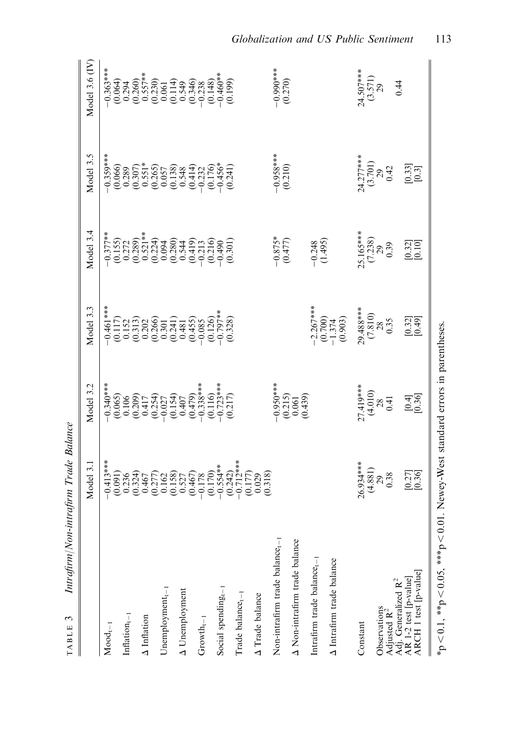<span id="page-18-0"></span>

| Intrafirm/Non-<br>$\mathfrak{c}$<br>TABLE                                  | intrafirm Trade Balance                                                              |                                                                 |                                                                                                                                                                                                                                                                                                                                             |                                                                                                                                                                                                                                                                                                                              |                                                                                                                                                                                                                                                                                                                                                   |                                                                                               |
|----------------------------------------------------------------------------|--------------------------------------------------------------------------------------|-----------------------------------------------------------------|---------------------------------------------------------------------------------------------------------------------------------------------------------------------------------------------------------------------------------------------------------------------------------------------------------------------------------------------|------------------------------------------------------------------------------------------------------------------------------------------------------------------------------------------------------------------------------------------------------------------------------------------------------------------------------|---------------------------------------------------------------------------------------------------------------------------------------------------------------------------------------------------------------------------------------------------------------------------------------------------------------------------------------------------|-----------------------------------------------------------------------------------------------|
|                                                                            | Model 3.1                                                                            | Model 3.2                                                       | Model 3.3                                                                                                                                                                                                                                                                                                                                   | Model 3.4                                                                                                                                                                                                                                                                                                                    | Model 3.5                                                                                                                                                                                                                                                                                                                                         | Model 3.6 (IV)                                                                                |
| $\mathbf{Mod}_{t-1}$                                                       | $-0.413***$                                                                          | $-0.340***$<br>(0.065)                                          |                                                                                                                                                                                                                                                                                                                                             |                                                                                                                                                                                                                                                                                                                              |                                                                                                                                                                                                                                                                                                                                                   |                                                                                               |
| Inflation $_{t-1}$                                                         |                                                                                      |                                                                 |                                                                                                                                                                                                                                                                                                                                             |                                                                                                                                                                                                                                                                                                                              |                                                                                                                                                                                                                                                                                                                                                   |                                                                                               |
| A Inflation                                                                | $\begin{array}{c} (0.091) \\ 0.236 \\ 0.324 \\ 0.467 \\ 0.467 \\ 0.277) \end{array}$ | $\begin{array}{c} 0.106 \\ 0.209 \\ 0.417 \\ 0.034 \end{array}$ |                                                                                                                                                                                                                                                                                                                                             | $-0.377**$<br>$-0.550$<br>$0.272$<br>$0.289$<br>$0.3734$<br>$0.034$<br>$0.094$                                                                                                                                                                                                                                               |                                                                                                                                                                                                                                                                                                                                                   | $-0.363$ ***<br>$(0.064)$<br>$(0.294)$<br>$(0.280)$<br>$(0.260)$<br>$(0.357)$ **<br>$(0.301)$ |
| $Unemployment_{t-1}$                                                       |                                                                                      | $-0.027$                                                        | $\begin{array}{l} \left( \begin{matrix} 46 \\ 11 \\ 20 \\ 30 \\ 40 \\ 50 \\ 60 \\ 70 \\ 80 \\ 90 \\ 100 \\ 110 \\ 101 \\ 101 \\ 100 \\ 101 \\ 100 \\ 100 \\ 100 \\ 100 \\ 100 \\ 100 \\ 100 \\ 100 \\ 100 \\ 100 \\ 100 \\ 100 \\ 100 \\ 100 \\ 100 \\ 100 \\ 100 \\ 100 \\ 100 \\ 100 \\ 100 \\ 100 \\ 100 \\ 100 \\ 100 \\ 100 \\ 100 \\$ |                                                                                                                                                                                                                                                                                                                              | $\begin{array}{l} * \\ 0.59\\ 86\\ - \\ 0.60\\ - \\ 0.60\\ - \\ 0.60\\ - \\ 0.60\\ - \\ 0.60\\ - \\ 0.60\\ - \\ 0.60\\ - \\ 0.60\\ - \\ 0.60\\ - \\ 0.60\\ - \\ 0.60\\ - \\ 0.60\\ - \\ 0.60\\ - \\ 0.60\\ - \\ 0.60\\ - \\ 0.60\\ - \\ 0.60\\ - \\ 0.60\\ - \\ 0.60\\ - \\ 0.60\\ - \\ 0.60\\ - \\ 0.60\\ - \\ 0.60\\ - \\ 0.60\\ - \\ 0.60\\ -$ |                                                                                               |
| A Unemployment                                                             | $\begin{array}{c} 0.162 \\ 0.158) \\ 0.527 \\ 0.527 \\ 0.467) \\ -0.178 \end{array}$ | $(0.154)$<br>$0.407$<br>$(0.479)$                               |                                                                                                                                                                                                                                                                                                                                             | $\begin{array}{c} 0.280 \\ 0.544 \\ 0.649 \\ 0.041 \\ 0.013 \\ 0.049 \\ -0.049 \\ -0.049 \\ -0.049 \\ -0.049 \\ -0.049 \\ -0.000 \\ -0.000 \\ -0.000 \\ -0.000 \\ -0.000 \\ -0.000 \\ -0.000 \\ -0.000 \\ -0.000 \\ -0.000 \\ -0.000 \\ -0.000 \\ -0.000 \\ -0.000 \\ -0.000 \\ -0.000 \\ -0.000 \\ -0.000 \\ -0.000 \\ -0.$ |                                                                                                                                                                                                                                                                                                                                                   | $\begin{array}{c} (0.114) \\ 0.549 \\ 0.346 \\ 0.238 \\ -0.238 \\ \hline \end{array}$         |
| $\mathbf{Group}_{t-1}$                                                     | (0.170)                                                                              | $-0.338***$<br>(0.116)                                          |                                                                                                                                                                                                                                                                                                                                             |                                                                                                                                                                                                                                                                                                                              |                                                                                                                                                                                                                                                                                                                                                   |                                                                                               |
| Social spending-                                                           | $-0.554***$                                                                          | $-0.723***$<br>(0.217)                                          | $\begin{array}{c} (0.126) \\ -0.797** \\ (0.328) \end{array}$                                                                                                                                                                                                                                                                               | (0.301)                                                                                                                                                                                                                                                                                                                      |                                                                                                                                                                                                                                                                                                                                                   | $-0.460**$<br>(0.199)                                                                         |
| $\operatorname{Trade\ balance}_{t-1}$                                      | $(0.242)$<br>-0.712***                                                               |                                                                 |                                                                                                                                                                                                                                                                                                                                             |                                                                                                                                                                                                                                                                                                                              |                                                                                                                                                                                                                                                                                                                                                   |                                                                                               |
| A Trade balance                                                            | $\begin{array}{c} (0.177) \\ 0.029 \end{array}$<br>(0.318)                           |                                                                 |                                                                                                                                                                                                                                                                                                                                             |                                                                                                                                                                                                                                                                                                                              |                                                                                                                                                                                                                                                                                                                                                   |                                                                                               |
| Non-intrafirm trade balance $_{t-1}$                                       |                                                                                      | $-0.950***$                                                     |                                                                                                                                                                                                                                                                                                                                             | $-0.875*$<br>(0.477)                                                                                                                                                                                                                                                                                                         | $-0.958***$<br>(0.210)                                                                                                                                                                                                                                                                                                                            | $-0.990***$                                                                                   |
| A Non-intrafirm trade balance                                              |                                                                                      | $\begin{array}{c} (0.215) \\ 0.061 \end{array}$<br>(0.439)      |                                                                                                                                                                                                                                                                                                                                             |                                                                                                                                                                                                                                                                                                                              |                                                                                                                                                                                                                                                                                                                                                   |                                                                                               |
| Intrafirm trade balance $_{t-1}$                                           |                                                                                      |                                                                 |                                                                                                                                                                                                                                                                                                                                             | $-0.248$<br>(1.495)                                                                                                                                                                                                                                                                                                          |                                                                                                                                                                                                                                                                                                                                                   |                                                                                               |
| A Intrafirm trade balance                                                  |                                                                                      |                                                                 | $-2.267***$<br>$(0.700)$<br>$-1.374$<br>$(0.903)$                                                                                                                                                                                                                                                                                           |                                                                                                                                                                                                                                                                                                                              |                                                                                                                                                                                                                                                                                                                                                   |                                                                                               |
| Constant                                                                   | $26.934***$                                                                          | 27.419***                                                       |                                                                                                                                                                                                                                                                                                                                             |                                                                                                                                                                                                                                                                                                                              |                                                                                                                                                                                                                                                                                                                                                   | $24.507***$                                                                                   |
| Adj. Generalized R <sup>2</sup><br>Observations<br>Adjusted R <sup>2</sup> | $(4.881)$<br>$29$<br>0.38                                                            | $(4.010)$<br>$28$<br>$0.41$                                     | $29.488***$<br>$(7.810)$<br>$28$<br>$28$<br>$0.35$                                                                                                                                                                                                                                                                                          | $25.165***$<br>$(7.238)$<br>$29$<br>$0.39$                                                                                                                                                                                                                                                                                   | $24.277***$<br>(3.701)<br>(3.701)<br>(9.42)                                                                                                                                                                                                                                                                                                       | $(3.571)$<br>$29$<br>0.44                                                                     |
| ARCH 1 test [p-value]<br>AR 1-2 test [p-value]                             | 525<br>1939<br>1939                                                                  | 19.36]<br>P.36]                                                 | 235<br>291<br>201                                                                                                                                                                                                                                                                                                                           | [0.32]<br>[0.10]                                                                                                                                                                                                                                                                                                             | 0.33]<br>[0.3]                                                                                                                                                                                                                                                                                                                                    |                                                                                               |
| * $p < 0.1$ , **p $< 0.05$ , ***p $< 0$                                    |                                                                                      | .01. Newey-West standard errors in parentheses.                 |                                                                                                                                                                                                                                                                                                                                             |                                                                                                                                                                                                                                                                                                                              |                                                                                                                                                                                                                                                                                                                                                   |                                                                                               |

Globalization and US Public Sentiment 113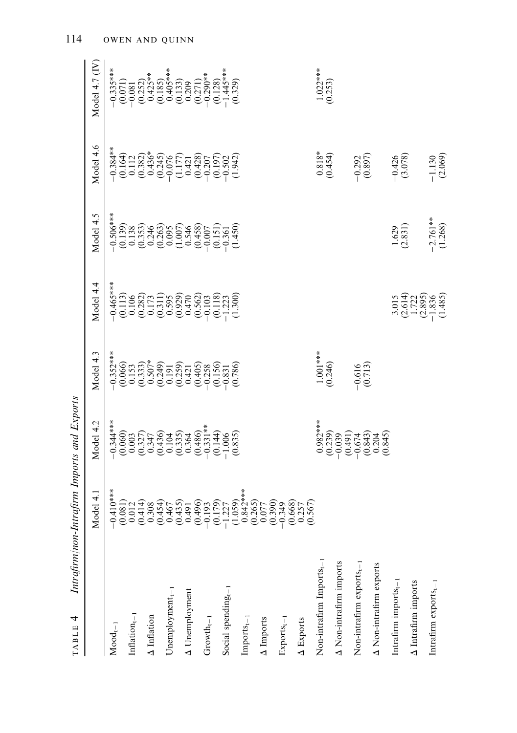<span id="page-19-0"></span>

| TABLE 4                                   |           | Intrafirm/non-Intrafirm Imports and Exports                                                                                                               |                       |                                                                             |                         |                                                                                                                                                                                                                                                                                                                                |                                                                                                                                                                                                                                                                                                                                                            |
|-------------------------------------------|-----------|-----------------------------------------------------------------------------------------------------------------------------------------------------------|-----------------------|-----------------------------------------------------------------------------|-------------------------|--------------------------------------------------------------------------------------------------------------------------------------------------------------------------------------------------------------------------------------------------------------------------------------------------------------------------------|------------------------------------------------------------------------------------------------------------------------------------------------------------------------------------------------------------------------------------------------------------------------------------------------------------------------------------------------------------|
|                                           | Model 4.1 | Model 4.2                                                                                                                                                 | Model 4.3             | Model 4.4                                                                   | Model 4.5               | Model 4.6                                                                                                                                                                                                                                                                                                                      | Model 4.7 (IV)                                                                                                                                                                                                                                                                                                                                             |
| $\mathbf{Mod}_{t-1}$                      |           |                                                                                                                                                           |                       |                                                                             |                         |                                                                                                                                                                                                                                                                                                                                |                                                                                                                                                                                                                                                                                                                                                            |
| Inflation $_{t-1}$                        |           |                                                                                                                                                           |                       |                                                                             |                         |                                                                                                                                                                                                                                                                                                                                |                                                                                                                                                                                                                                                                                                                                                            |
| A Inflation                               |           |                                                                                                                                                           |                       |                                                                             |                         |                                                                                                                                                                                                                                                                                                                                |                                                                                                                                                                                                                                                                                                                                                            |
| $\label{eq:U} \text{Unemplogment}_{t-1}$  |           |                                                                                                                                                           |                       |                                                                             |                         | $\begin{array}{l} \left(-12844\right) \\ -0.164 \\ -0.112 \\ -0.0112 \\ -0.0112 \\ -0.0112 \\ -0.0112 \\ -0.0103 \\ -0.0104 \\ -0.0103 \\ -0.0100 \\ -0.0010 \\ -0.0010 \\ -0.0010 \\ -0.0010 \\ -0.0010 \\ -0.0010 \\ -0.0010 \\ -0.0010 \\ -0.0010 \\ -0.0010 \\ -0.0010 \\ -0.0010 \\ -0.0010 \\ -0.0010 \\ -0.0010 \\ -0.$ | $\begin{array}{c} -0.335^{***} \\ -0.071) \\ -0.081 \\ -0.081 \\ -0.081 \\ -0.0837^{***} \\ -0.0323^{***} \\ -0.0333^{***} \\ -0.0330^{***} \\ -0.030^{***} \\ -0.290^{**} \\ -0.290^{**} \\ -0.0200^{**} \\ -0.030^{***} \\ -0.030^{***} \\ -0.030^{***} \\ -0.030^{***} \\ -0.030^{***} \\ -0.030^{***} \\ -0.030^{***} \\ -0.030^{***} \\ -0.030^{***}$ |
| $\Delta$ Unemployment                     |           |                                                                                                                                                           |                       |                                                                             |                         |                                                                                                                                                                                                                                                                                                                                |                                                                                                                                                                                                                                                                                                                                                            |
| $\mbox{Group}_{t-1}$                      |           |                                                                                                                                                           |                       |                                                                             |                         |                                                                                                                                                                                                                                                                                                                                |                                                                                                                                                                                                                                                                                                                                                            |
| Social spending $_{t-1}$                  |           |                                                                                                                                                           |                       |                                                                             |                         |                                                                                                                                                                                                                                                                                                                                |                                                                                                                                                                                                                                                                                                                                                            |
| $\label{eq:improts} \text{Imports}_{t-1}$ |           |                                                                                                                                                           |                       |                                                                             |                         |                                                                                                                                                                                                                                                                                                                                |                                                                                                                                                                                                                                                                                                                                                            |
| A Imports                                 |           |                                                                                                                                                           |                       |                                                                             |                         |                                                                                                                                                                                                                                                                                                                                |                                                                                                                                                                                                                                                                                                                                                            |
| $Exports_{t-1}$                           |           |                                                                                                                                                           |                       |                                                                             |                         |                                                                                                                                                                                                                                                                                                                                |                                                                                                                                                                                                                                                                                                                                                            |
| A Exports                                 |           |                                                                                                                                                           |                       |                                                                             |                         |                                                                                                                                                                                                                                                                                                                                |                                                                                                                                                                                                                                                                                                                                                            |
| Non-intrafirm Imports <sub>t-1</sub>      |           |                                                                                                                                                           | $1.001***$<br>(0.246) |                                                                             |                         | $0.818*$<br>(0.454)                                                                                                                                                                                                                                                                                                            | $1.022***$<br>(0.253)                                                                                                                                                                                                                                                                                                                                      |
| A Non-intrafirm imports                   |           |                                                                                                                                                           |                       |                                                                             |                         |                                                                                                                                                                                                                                                                                                                                |                                                                                                                                                                                                                                                                                                                                                            |
| Non-intrafirm exports <sub>t-1</sub>      |           |                                                                                                                                                           | $-0.616$<br>$(0.713)$ |                                                                             |                         | $-0.292$<br>(0.897)                                                                                                                                                                                                                                                                                                            |                                                                                                                                                                                                                                                                                                                                                            |
| A Non-intrafirm exports                   |           | $\begin{array}{c} 0.982^{***} \\ 0.239) \\ (0.239) \\ (0.39) \\ (0.491) \\ (0.491) \\ (0.843) \\ (0.845) \\ (0.845) \\ (0.845) \\ (0.845) \\ \end{array}$ |                       |                                                                             |                         |                                                                                                                                                                                                                                                                                                                                |                                                                                                                                                                                                                                                                                                                                                            |
| Intrafirm imports $_{t-1}$                |           |                                                                                                                                                           |                       |                                                                             | $\frac{1.629}{(2.831)}$ | $\frac{-0.426}{(3.078)}$                                                                                                                                                                                                                                                                                                       |                                                                                                                                                                                                                                                                                                                                                            |
| A Intrafirm imports                       |           |                                                                                                                                                           |                       |                                                                             |                         |                                                                                                                                                                                                                                                                                                                                |                                                                                                                                                                                                                                                                                                                                                            |
| Intrafirm $\text{exports}_{t-1}$          |           |                                                                                                                                                           |                       | $\begin{array}{c} 3.015 \\ 2.614) \\ 2.722 \\ -1.836 \\ -1.485 \end{array}$ | $-2.761**$<br>(1.268)   | $-1.130$<br>(2.069)                                                                                                                                                                                                                                                                                                            |                                                                                                                                                                                                                                                                                                                                                            |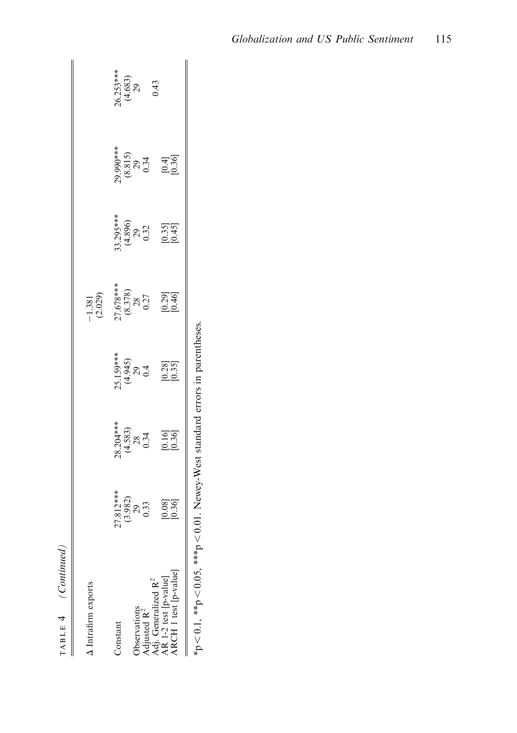\* $p < 0.1$ , \*\* $p < 0.05$ , \*\*\* $p < 0.01$ . Newey-West standard errors in parentheses. \*p  $\leq$  0.1, \*\*p  $\leq$  0.05, \*\*\*p  $\leq$  0.01. Newey-West standard errors in parentheses.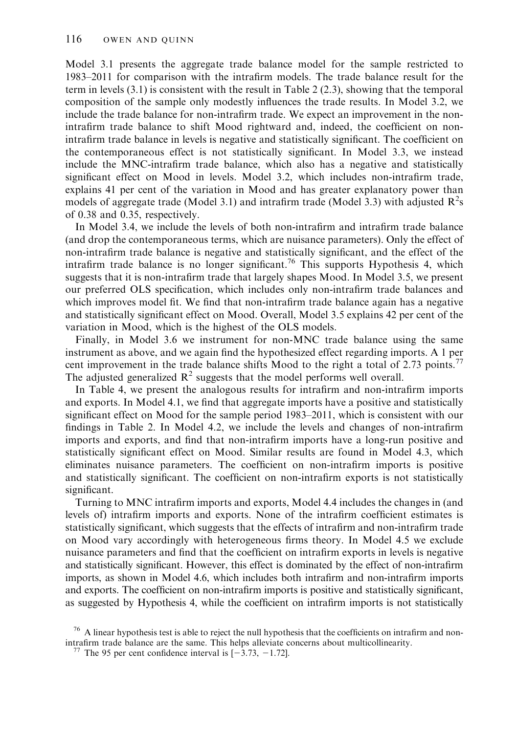Model 3.1 presents the aggregate trade balance model for the sample restricted to 1983–2011 for comparison with the intrafirm models. The trade balance result for the term in levels (3.1) is consistent with the result in [Table 2](#page-16-0) (2.3), showing that the temporal composition of the sample only modestly influences the trade results. In Model 3.2, we include the trade balance for non-intrafirm trade. We expect an improvement in the nonintrafirm trade balance to shift Mood rightward and, indeed, the coefficient on nonintrafirm trade balance in levels is negative and statistically significant. The coefficient on the contemporaneous effect is not statistically significant. In Model 3.3, we instead include the MNC-intrafirm trade balance, which also has a negative and statistically significant effect on Mood in levels. Model 3.2, which includes non-intrafirm trade, explains 41 per cent of the variation in Mood and has greater explanatory power than models of aggregate trade (Model 3.1) and intrafirm trade (Model 3.3) with adjusted  $R^2$ s of 0.38 and 0.35, respectively.

In Model 3.4, we include the levels of both non-intrafirm and intrafirm trade balance (and drop the contemporaneous terms, which are nuisance parameters). Only the effect of non-intrafirm trade balance is negative and statistically significant, and the effect of the intrafirm trade balance is no longer significant.<sup>76</sup> This supports Hypothesis 4, which suggests that it is non-intrafirm trade that largely shapes Mood. In Model 3.5, we present our preferred OLS specification, which includes only non-intrafirm trade balances and which improves model fit. We find that non-intrafirm trade balance again has a negative and statistically significant effect on Mood. Overall, Model 3.5 explains 42 per cent of the variation in Mood, which is the highest of the OLS models.

Finally, in Model 3.6 we instrument for non-MNC trade balance using the same instrument as above, and we again find the hypothesized effect regarding imports. A 1 per cent improvement in the trade balance shifts Mood to the right a total of 2.73 points.<sup>77</sup> The adjusted generalized  $\mathbb{R}^2$  suggests that the model performs well overall.

In [Table 4,](#page-19-0) we present the analogous results for intrafirm and non-intrafirm imports and exports. In Model 4.1, we find that aggregate imports have a positive and statistically significant effect on Mood for the sample period 1983–2011, which is consistent with our findings in [Table 2.](#page-16-0) In Model 4.2, we include the levels and changes of non-intrafirm imports and exports, and find that non-intrafirm imports have a long-run positive and statistically significant effect on Mood. Similar results are found in Model 4.3, which eliminates nuisance parameters. The coefficient on non-intrafirm imports is positive and statistically significant. The coefficient on non-intrafirm exports is not statistically significant.

Turning to MNC intrafirm imports and exports, Model 4.4 includes the changes in (and levels of) intrafirm imports and exports. None of the intrafirm coefficient estimates is statistically significant, which suggests that the effects of intrafirm and non-intrafirm trade on Mood vary accordingly with heterogeneous firms theory. In Model 4.5 we exclude nuisance parameters and find that the coefficient on intrafirm exports in levels is negative and statistically significant. However, this effect is dominated by the effect of non-intrafirm imports, as shown in Model 4.6, which includes both intrafirm and non-intrafirm imports and exports. The coefficient on non-intrafirm imports is positive and statistically significant, as suggested by Hypothesis 4, while the coefficient on intrafirm imports is not statistically

 $76$  A linear hypothesis test is able to reject the null hypothesis that the coefficients on intrafirm and nonintrafirm trade balance are the same. This helps alleviate concerns about multicollinearity.<br><sup>77</sup> The 95 per cent confidence interval is  $[-3.73, -1.72]$ .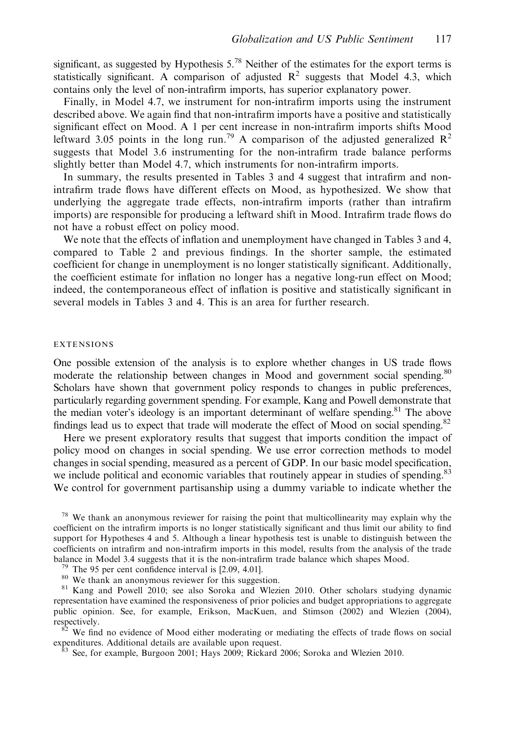significant, as suggested by Hypothesis  $5.^{78}$  Neither of the estimates for the export terms is statistically significant. A comparison of adjusted  $\mathbb{R}^2$  suggests that Model 4.3, which contains only the level of non-intrafirm imports, has superior explanatory power.

Finally, in Model 4.7, we instrument for non-intrafirm imports using the instrument described above. We again find that non-intrafirm imports have a positive and statistically significant effect on Mood. A 1 per cent increase in non-intrafirm imports shifts Mood leftward 3.05 points in the long run.<sup>79</sup> A comparison of the adjusted generalized  $\mathbb{R}^2$ suggests that Model 3.6 instrumenting for the non-intrafirm trade balance performs slightly better than Model 4.7, which instruments for non-intrafirm imports.

In summary, the results presented in [Tables 3](#page-18-0) and [4](#page-19-0) suggest that intrafirm and nonintrafirm trade flows have different effects on Mood, as hypothesized. We show that underlying the aggregate trade effects, non-intrafirm imports (rather than intrafirm imports) are responsible for producing a leftward shift in Mood. Intrafirm trade flows do not have a robust effect on policy mood.

We note that the effects of inflation and unemployment have changed in [Tables 3](#page-18-0) and [4](#page-19-0), compared to [Table 2](#page-16-0) and previous findings. In the shorter sample, the estimated coefficient for change in unemployment is no longer statistically significant. Additionally, the coefficient estimate for inflation no longer has a negative long-run effect on Mood; indeed, the contemporaneous effect of inflation is positive and statistically significant in several models in [Tables 3](#page-18-0) and [4](#page-19-0). This is an area for further research.

#### EXTENSIONS

One possible extension of the analysis is to explore whether changes in US trade flows moderate the relationship between changes in Mood and government social spending.<sup>80</sup> Scholars have shown that government policy responds to changes in public preferences, particularly regarding government spending. For example, Kang and Powell demonstrate that the median voter's ideology is an important determinant of welfare spending.<sup>81</sup> The above findings lead us to expect that trade will moderate the effect of Mood on social spending.<sup>82</sup>

Here we present exploratory results that suggest that imports condition the impact of policy mood on changes in social spending. We use error correction methods to model changes in social spending, measured as a percent of GDP. In our basic model specification, we include political and economic variables that routinely appear in studies of spending.<sup>83</sup> We control for government partisanship using a dummy variable to indicate whether the

 $78$  We thank an anonymous reviewer for raising the point that multicollinearity may explain why the coefficient on the intrafirm imports is no longer statistically significant and thus limit our ability to find support for Hypotheses 4 and 5. Although a linear hypothesis test is unable to distinguish between the coefficients on intrafirm and non-intrafirm imports in this model, results from the analysis of the trade balance in Model 3.4 suggests that it is the non-intrafirm trade balance which shapes Mood.<br><sup>79</sup> The 95 per cent confidence interval is [2.09, 4.01].<br><sup>80</sup> We thank an anonymous reviewer for this suggestion.<br><sup>81</sup> Kang and P

representation have examined the responsiveness of prior policies and budget appropriations to aggregate public opinion. See, for example, Erikson, MacKuen, and Stimson ([2002\)](#page-26-0) and Wlezien ([2004\)](#page-28-0),

respectively.<br><sup>82</sup> We find no evidence of Mood either moderating or mediating the effects of trade flows on social expenditures. Additional details are available upon request.

See, for example, Burgoon [2001](#page-26-0); Hays [2009](#page-27-0); Rickard [2006](#page-28-0); Soroka and Wlezien [2010](#page-28-0).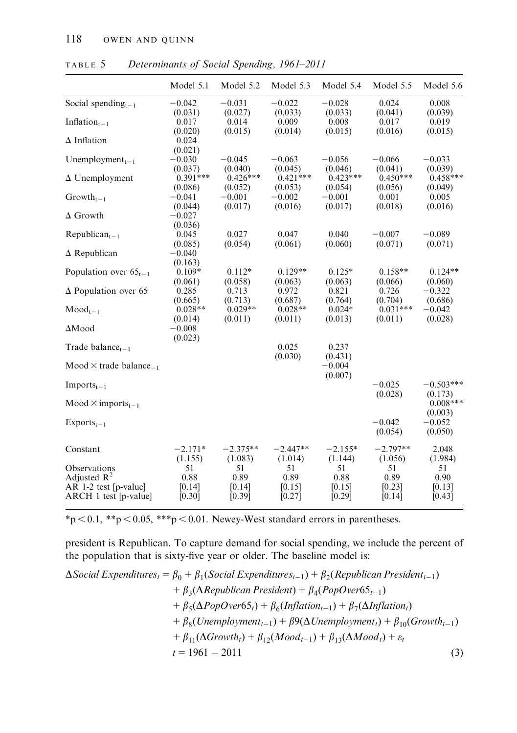|                                                                                           | Model 5.1                                 | Model 5.2                                 | Model 5.3                                 | Model 5.4                                 | Model 5.5                                 | Model 5.6                                 |
|-------------------------------------------------------------------------------------------|-------------------------------------------|-------------------------------------------|-------------------------------------------|-------------------------------------------|-------------------------------------------|-------------------------------------------|
| Social spending $_{t-1}$                                                                  | $-0.042$<br>(0.031)                       | $-0.031$<br>(0.027)                       | $-0.022$<br>(0.033)                       | $-0.028$<br>(0.033)                       | 0.024<br>(0.041)                          | 0.008<br>(0.039)                          |
| Inflation $_{t-1}$                                                                        | 0.017<br>(0.020)                          | 0.014<br>(0.015)                          | 0.009<br>(0.014)                          | 0.008<br>(0.015)                          | 0.017<br>(0.016)                          | 0.019<br>(0.015)                          |
| $\Delta$ Inflation                                                                        | 0.024<br>(0.021)                          |                                           |                                           |                                           |                                           |                                           |
| Unemployment <sub>t-1</sub>                                                               | $-0.030$<br>(0.037)                       | $-0.045$<br>(0.040)                       | $-0.063$<br>(0.045)                       | $-0.056$<br>(0.046)                       | $-0.066$<br>(0.041)                       | $-0.033$<br>(0.039)                       |
| $\Delta$ Unemployment                                                                     | $0.391***$                                | $0.426***$<br>(0.052)                     | $0.421***$<br>(0.053)                     | $0.423***$<br>(0.054)                     | $0.450***$<br>(0.056)                     | $0.458***$<br>(0.049)                     |
| $Growth_{t-1}$                                                                            | (0.086)<br>$-0.041$<br>(0.044)            | $-0.001$<br>(0.017)                       | $-0.002$<br>(0.016)                       | $-0.001$<br>(0.017)                       | 0.001<br>(0.018)                          | 0.005<br>(0.016)                          |
| $\Delta$ Growth                                                                           | $-0.027$<br>(0.036)                       |                                           |                                           |                                           |                                           |                                           |
| $Republican_{t-1}$                                                                        | 0.045<br>(0.085)                          | 0.027<br>(0.054)                          | 0.047<br>(0.061)                          | 0.040<br>(0.060)                          | $-0.007$<br>(0.071)                       | $-0.089$<br>(0.071)                       |
| $\Delta$ Republican                                                                       | $-0.040$<br>(0.163)                       |                                           |                                           |                                           |                                           |                                           |
| Population over $65_{t-1}$                                                                | $0.109*$                                  | $0.112*$                                  | $0.129**$                                 | $0.125*$                                  | $0.158**$                                 | $0.124**$                                 |
| $\Delta$ Population over 65                                                               | (0.061)<br>0.285<br>(0.665)               | (0.058)<br>0.713<br>(0.713)               | (0.063)<br>0.972<br>(0.687)               | (0.063)<br>0.821<br>(0.764)               | (0.066)<br>0.726<br>(0.704)               | (0.060)<br>$-0.322$<br>(0.686)            |
| $Mod_{t-1}$                                                                               | $0.028**$<br>(0.014)                      | $0.029**$<br>(0.011)                      | $0.028**$<br>(0.011)                      | $0.024*$<br>(0.013)                       | $0.031***$<br>(0.011)                     | $-0.042$<br>(0.028)                       |
| $\Delta M$ ood                                                                            | $-0.008$<br>(0.023)                       |                                           |                                           |                                           |                                           |                                           |
| Trade balance $_{t-1}$                                                                    |                                           |                                           | 0.025                                     | 0.237                                     |                                           |                                           |
| $Mood \times$ trade balance <sub>-1</sub>                                                 |                                           |                                           | (0.030)                                   | (0.431)<br>$-0.004$<br>(0.007)            |                                           |                                           |
| $Imports_{t-1}$                                                                           |                                           |                                           |                                           |                                           | $-0.025$<br>(0.028)                       | $-0.503***$<br>(0.173)                    |
| $Mod \times$ imports <sub>t-1</sub>                                                       |                                           |                                           |                                           |                                           |                                           | $0.008***$<br>(0.003)                     |
| $Exports_{t-1}$                                                                           |                                           |                                           |                                           |                                           | $-0.042$<br>(0.054)                       | $-0.052$<br>(0.050)                       |
| Constant                                                                                  | $-2.171*$                                 | $-2.375**$                                | $-2.447**$                                | $-2.155*$                                 | $-2.797**$                                | 2.048                                     |
| Observations<br>Adjusted $\mathbb{R}^2$<br>AR 1-2 test [p-value]<br>ARCH 1 test [p-value] | (1.155)<br>51<br>0.88<br>[0.14]<br>[0.30] | (1.083)<br>51<br>0.89<br>[0.14]<br>[0.39] | (1.014)<br>51<br>0.89<br>[0.15]<br>[0.27] | (1.144)<br>51<br>0.88<br>[0.15]<br>[0.29] | (1.056)<br>51<br>0.89<br>[0.23]<br>[0.14] | (1.984)<br>51<br>0.90<br>[0.13]<br>[0.43] |

<span id="page-23-0"></span>TABLE 5 Determinants of Social Spending, 1961–2011

 $*p < 0.1$ ,  $**p < 0.05$ ,  $***p < 0.01$ . Newey-West standard errors in parentheses.

president is Republican. To capture demand for social spending, we include the percent of the population that is sixty-five year or older. The baseline model is:

$$
\Delta Social Expenditures_t = \beta_0 + \beta_1 (Social Expenditures_{t-1}) + \beta_2 (Republican President_{t-1})
$$
  
+  $\beta_3 (\Delta Republican President) + \beta_4 (PopOver65_{t-1})$   
+  $\beta_5 (\Delta PopOver65_t) + \beta_6 (Inflation_{t-1}) + \beta_7 (\Delta Inflation_t)$   
+  $\beta_8 (Unemployment_{t-1}) + \beta 9 (\Delta Unemployment_t) + \beta_{10} (Growth_{t-1})$   
+  $\beta_{11} (\Delta Growth_t) + \beta_{12} (Mod_{t-1}) + \beta_{13} (\Delta Wood_t) + \varepsilon_t$   
 $t = 1961 - 2011$  (3)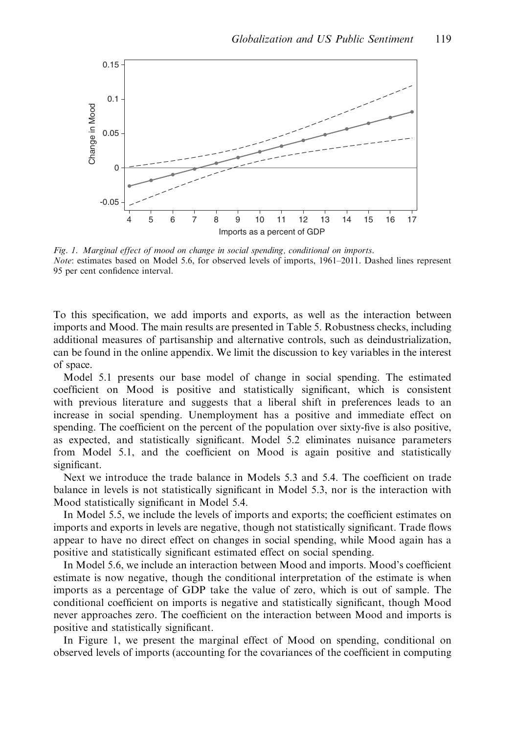<span id="page-24-0"></span>

Fig. 1. Marginal effect of mood on change in social spending, conditional on imports. Note: estimates based on Model 5.6, for observed levels of imports, 1961–2011. Dashed lines represent 95 per cent confidence interval.

To this specification, we add imports and exports, as well as the interaction between imports and Mood. The main results are presented in [Table 5](#page-23-0). Robustness checks, including additional measures of partisanship and alternative controls, such as deindustrialization, can be found in the online appendix. We limit the discussion to key variables in the interest of space.

Model 5.1 presents our base model of change in social spending. The estimated coefficient on Mood is positive and statistically significant, which is consistent with previous literature and suggests that a liberal shift in preferences leads to an increase in social spending. Unemployment has a positive and immediate effect on spending. The coefficient on the percent of the population over sixty-five is also positive, as expected, and statistically significant. Model 5.2 eliminates nuisance parameters from Model 5.1, and the coefficient on Mood is again positive and statistically significant.

Next we introduce the trade balance in Models 5.3 and 5.4. The coefficient on trade balance in levels is not statistically significant in Model 5.3, nor is the interaction with Mood statistically significant in Model 5.4.

In Model 5.5, we include the levels of imports and exports; the coefficient estimates on imports and exports in levels are negative, though not statistically significant. Trade flows appear to have no direct effect on changes in social spending, while Mood again has a positive and statistically significant estimated effect on social spending.

In Model 5.6, we include an interaction between Mood and imports. Mood's coefficient estimate is now negative, though the conditional interpretation of the estimate is when imports as a percentage of GDP take the value of zero, which is out of sample. The conditional coefficient on imports is negative and statistically significant, though Mood never approaches zero. The coefficient on the interaction between Mood and imports is positive and statistically significant.

In Figure 1, we present the marginal effect of Mood on spending, conditional on observed levels of imports (accounting for the covariances of the coefficient in computing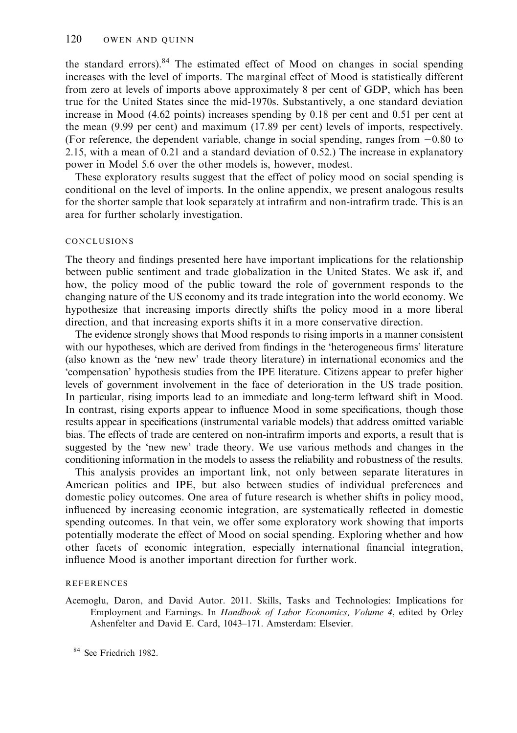<span id="page-25-0"></span>the standard errors).<sup>84</sup> The estimated effect of Mood on changes in social spending increases with the level of imports. The marginal effect of Mood is statistically different from zero at levels of imports above approximately 8 per cent of GDP, which has been true for the United States since the mid-1970s. Substantively, a one standard deviation increase in Mood (4.62 points) increases spending by 0.18 per cent and 0.51 per cent at the mean (9.99 per cent) and maximum (17.89 per cent) levels of imports, respectively. (For reference, the dependent variable, change in social spending, ranges from  $-0.80$  to 2.15, with a mean of 0.21 and a standard deviation of 0.52.) The increase in explanatory power in Model 5.6 over the other models is, however, modest.

These exploratory results suggest that the effect of policy mood on social spending is conditional on the level of imports. In the online appendix, we present analogous results for the shorter sample that look separately at intrafirm and non-intrafirm trade. This is an area for further scholarly investigation.

#### CONCLUSIONS

The theory and findings presented here have important implications for the relationship between public sentiment and trade globalization in the United States. We ask if, and how, the policy mood of the public toward the role of government responds to the changing nature of the US economy and its trade integration into the world economy. We hypothesize that increasing imports directly shifts the policy mood in a more liberal direction, and that increasing exports shifts it in a more conservative direction.

The evidence strongly shows that Mood responds to rising imports in a manner consistent with our hypotheses, which are derived from findings in the 'heterogeneous firms' literature (also known as the 'new new' trade theory literature) in international economics and the 'compensation' hypothesis studies from the IPE literature. Citizens appear to prefer higher levels of government involvement in the face of deterioration in the US trade position. In particular, rising imports lead to an immediate and long-term leftward shift in Mood. In contrast, rising exports appear to influence Mood in some specifications, though those results appear in specifications (instrumental variable models) that address omitted variable bias. The effects of trade are centered on non-intrafirm imports and exports, a result that is suggested by the 'new new' trade theory. We use various methods and changes in the conditioning information in the models to assess the reliability and robustness of the results.

This analysis provides an important link, not only between separate literatures in American politics and IPE, but also between studies of individual preferences and domestic policy outcomes. One area of future research is whether shifts in policy mood, influenced by increasing economic integration, are systematically reflected in domestic spending outcomes. In that vein, we offer some exploratory work showing that imports potentially moderate the effect of Mood on social spending. Exploring whether and how other facets of economic integration, especially international financial integration, influence Mood is another important direction for further work.

#### **REFERENCES**

Acemoglu, Daron, and David Autor. 2011. Skills, Tasks and Technologies: Implications for Employment and Earnings. In Handbook of Labor Economics, Volume 4, edited by Orley Ashenfelter and David E. Card, 1043–171. Amsterdam: Elsevier.

<sup>84</sup> See Friedrich [1982.](#page-27-0)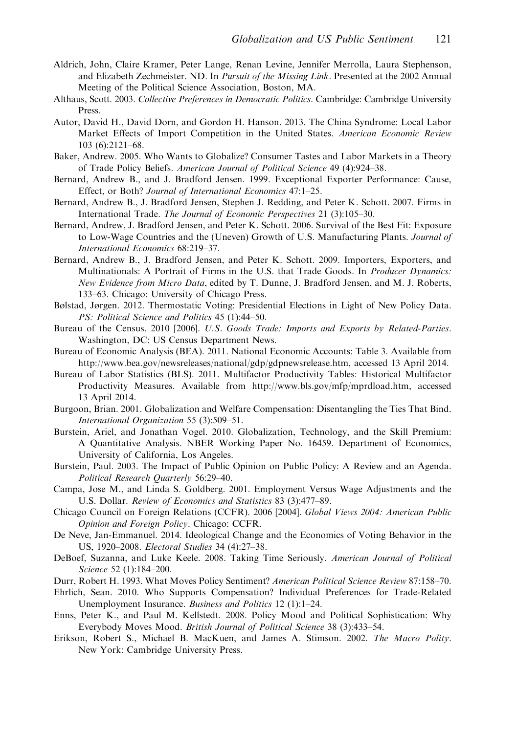- <span id="page-26-0"></span>Aldrich, John, Claire Kramer, Peter Lange, Renan Levine, Jennifer Merrolla, Laura Stephenson, and Elizabeth Zechmeister. ND. In Pursuit of the Missing Link. Presented at the 2002 Annual Meeting of the Political Science Association, Boston, MA.
- Althaus, Scott. 2003. Collective Preferences in Democratic Politics. Cambridge: Cambridge University Press.
- Autor, David H., David Dorn, and Gordon H. Hanson. 2013. The China Syndrome: Local Labor Market Effects of Import Competition in the United States. American Economic Review 103 (6):2121–68.
- Baker, Andrew. 2005. Who Wants to Globalize? Consumer Tastes and Labor Markets in a Theory of Trade Policy Beliefs. American Journal of Political Science 49 (4):924–38.
- Bernard, Andrew B., and J. Bradford Jensen. 1999. Exceptional Exporter Performance: Cause, Effect, or Both? Journal of International Economics 47:1–25.
- Bernard, Andrew B., J. Bradford Jensen, Stephen J. Redding, and Peter K. Schott. 2007. Firms in International Trade. The Journal of Economic Perspectives 21 (3):105–30.
- Bernard, Andrew, J. Bradford Jensen, and Peter K. Schott. 2006. Survival of the Best Fit: Exposure to Low-Wage Countries and the (Uneven) Growth of U.S. Manufacturing Plants. Journal of International Economics 68:219–37.
- Bernard, Andrew B., J. Bradford Jensen, and Peter K. Schott. 2009. Importers, Exporters, and Multinationals: A Portrait of Firms in the U.S. that Trade Goods. In *Producer Dynamics:* New Evidence from Micro Data, edited by T. Dunne, J. Bradford Jensen, and M. J. Roberts, 133–63. Chicago: University of Chicago Press.
- Bølstad, Jørgen. 2012. Thermostatic Voting: Presidential Elections in Light of New Policy Data. PS: Political Science and Politics 45 (1):44–50.
- Bureau of the Census. 2010 [2006]. U.S. Goods Trade: Imports and Exports by Related-Parties. Washington, DC: US Census Department News.
- Bureau of Economic Analysis (BEA). 2011. National Economic Accounts: Table 3. Available from http://www.bea.gov/newsreleases/national/gdp/gdpnewsrelease.htm, accessed 13 April 2014.
- Bureau of Labor Statistics (BLS). 2011. Multifactor Productivity Tables: Historical Multifactor Productivity Measures. Available from http://www.bls.gov/mfp/mprdload.htm, accessed 13 April 2014.
- Burgoon, Brian. 2001. Globalization and Welfare Compensation: Disentangling the Ties That Bind. International Organization 55 (3):509–51.
- Burstein, Ariel, and Jonathan Vogel. 2010. Globalization, Technology, and the Skill Premium: A Quantitative Analysis. NBER Working Paper No. 16459. Department of Economics, University of California, Los Angeles.
- Burstein, Paul. 2003. The Impact of Public Opinion on Public Policy: A Review and an Agenda. Political Research Quarterly 56:29–40.
- Campa, Jose M., and Linda S. Goldberg. 2001. Employment Versus Wage Adjustments and the U.S. Dollar. Review of Economics and Statistics 83 (3):477–89.
- Chicago Council on Foreign Relations (CCFR). 2006 [2004]. Global Views 2004: American Public Opinion and Foreign Policy. Chicago: CCFR.
- De Neve, Jan-Emmanuel. 2014. Ideological Change and the Economics of Voting Behavior in the US, 1920–2008. Electoral Studies 34 (4):27–38.
- DeBoef, Suzanna, and Luke Keele. 2008. Taking Time Seriously. American Journal of Political Science 52 (1):184–200.
- Durr, Robert H. 1993. What Moves Policy Sentiment? American Political Science Review 87:158–70.
- Ehrlich, Sean. 2010. Who Supports Compensation? Individual Preferences for Trade-Related Unemployment Insurance. Business and Politics 12 (1):1–24.
- Enns, Peter K., and Paul M. Kellstedt. 2008. Policy Mood and Political Sophistication: Why Everybody Moves Mood. British Journal of Political Science 38 (3):433–54.
- Erikson, Robert S., Michael B. MacKuen, and James A. Stimson. 2002. The Macro Polity. New York: Cambridge University Press.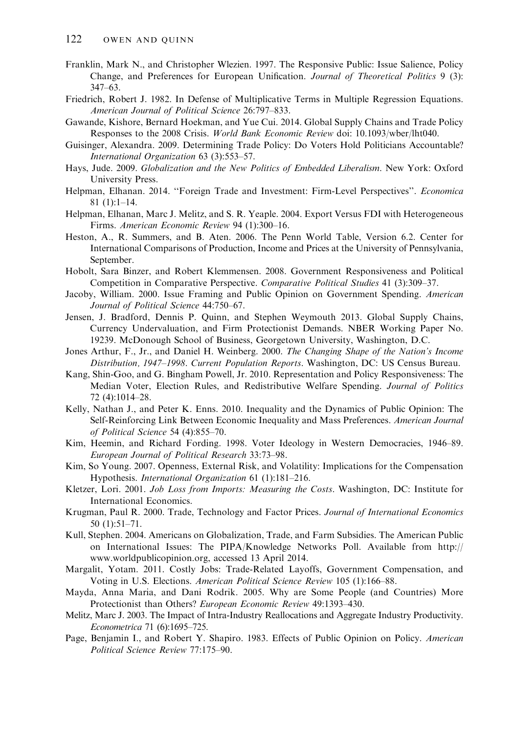- <span id="page-27-0"></span>Franklin, Mark N., and Christopher Wlezien. 1997. The Responsive Public: Issue Salience, Policy Change, and Preferences for European Unification. Journal of Theoretical Politics 9 (3): 347–63.
- Friedrich, Robert J. 1982. In Defense of Multiplicative Terms in Multiple Regression Equations. American Journal of Political Science 26:797–833.
- Gawande, Kishore, Bernard Hoekman, and Yue Cui. 2014. Global Supply Chains and Trade Policy Responses to the 2008 Crisis. World Bank Economic Review doi: 10.1093/wber/lht040.
- Guisinger, Alexandra. 2009. Determining Trade Policy: Do Voters Hold Politicians Accountable? International Organization 63 (3):553–57.
- Hays, Jude. 2009. Globalization and the New Politics of Embedded Liberalism. New York: Oxford University Press.
- Helpman, Elhanan. 2014. ''Foreign Trade and Investment: Firm-Level Perspectives''. Economica 81 (1):1–14.
- Helpman, Elhanan, Marc J. Melitz, and S. R. Yeaple. 2004. Export Versus FDI with Heterogeneous Firms. American Economic Review 94 (1):300–16.
- Heston, A., R. Summers, and B. Aten. 2006. The Penn World Table, Version 6.2. Center for International Comparisons of Production, Income and Prices at the University of Pennsylvania, September.
- Hobolt, Sara Binzer, and Robert Klemmensen. 2008. Government Responsiveness and Political Competition in Comparative Perspective. Comparative Political Studies 41 (3):309–37.
- Jacoby, William. 2000. Issue Framing and Public Opinion on Government Spending. American Journal of Political Science 44:750–67.
- Jensen, J. Bradford, Dennis P. Quinn, and Stephen Weymouth 2013. Global Supply Chains, Currency Undervaluation, and Firm Protectionist Demands. NBER Working Paper No. 19239. McDonough School of Business, Georgetown University, Washington, D.C.
- Jones Arthur, F., Jr., and Daniel H. Weinberg. 2000. The Changing Shape of the Nation's Income Distribution, 1947–1998. Current Population Reports. Washington, DC: US Census Bureau.
- Kang, Shin-Goo, and G. Bingham Powell, Jr. 2010. Representation and Policy Responsiveness: The Median Voter, Election Rules, and Redistributive Welfare Spending. Journal of Politics 72 (4):1014–28.
- Kelly, Nathan J., and Peter K. Enns. 2010. Inequality and the Dynamics of Public Opinion: The Self-Reinforcing Link Between Economic Inequality and Mass Preferences. American Journal of Political Science 54 (4):855–70.
- Kim, Heemin, and Richard Fording. 1998. Voter Ideology in Western Democracies, 1946–89. European Journal of Political Research 33:73–98.
- Kim, So Young. 2007. Openness, External Risk, and Volatility: Implications for the Compensation Hypothesis. International Organization 61 (1):181–216.
- Kletzer, Lori. 2001. Job Loss from Imports: Measuring the Costs. Washington, DC: Institute for International Economics.
- Krugman, Paul R. 2000. Trade, Technology and Factor Prices. Journal of International Economics 50 (1):51–71.
- Kull, Stephen. 2004. Americans on Globalization, Trade, and Farm Subsidies. The American Public on International Issues: The PIPA/Knowledge Networks Poll. Available from http:// www.worldpublicopinion.org, accessed 13 April 2014.
- Margalit, Yotam. 2011. Costly Jobs: Trade-Related Layoffs, Government Compensation, and Voting in U.S. Elections. American Political Science Review 105 (1):166–88.
- Mayda, Anna Maria, and Dani Rodrik. 2005. Why are Some People (and Countries) More Protectionist than Others? European Economic Review 49:1393–430.
- Melitz, Marc J. 2003. The Impact of Intra-Industry Reallocations and Aggregate Industry Productivity. Econometrica 71 (6):1695–725.
- Page, Benjamin I., and Robert Y. Shapiro. 1983. Effects of Public Opinion on Policy. American Political Science Review 77:175–90.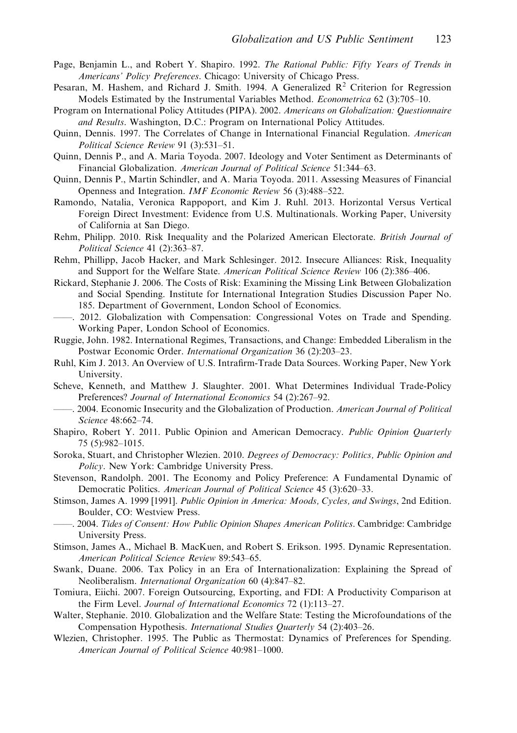- <span id="page-28-0"></span>Page, Benjamin L., and Robert Y. Shapiro. 1992. The Rational Public: Fifty Years of Trends in Americans' Policy Preferences. Chicago: University of Chicago Press.
- Pesaran, M. Hashem, and Richard J. Smith. 1994. A Generalized  $R^2$  Criterion for Regression Models Estimated by the Instrumental Variables Method. Econometrica 62 (3):705–10.
- Program on International Policy Attitudes (PIPA). 2002. Americans on Globalization: Questionnaire and Results. Washington, D.C.: Program on International Policy Attitudes.
- Quinn, Dennis. 1997. The Correlates of Change in International Financial Regulation. American Political Science Review 91 (3):531–51.

Quinn, Dennis P., and A. Maria Toyoda. 2007. Ideology and Voter Sentiment as Determinants of Financial Globalization. American Journal of Political Science 51:344–63.

- Quinn, Dennis P., Martin Schindler, and A. Maria Toyoda. 2011. Assessing Measures of Financial Openness and Integration. IMF Economic Review 56 (3):488–522.
- Ramondo, Natalia, Veronica Rappoport, and Kim J. Ruhl. 2013. Horizontal Versus Vertical Foreign Direct Investment: Evidence from U.S. Multinationals. Working Paper, University of California at San Diego.
- Rehm, Philipp. 2010. Risk Inequality and the Polarized American Electorate. British Journal of Political Science 41 (2):363–87.
- Rehm, Phillipp, Jacob Hacker, and Mark Schlesinger. 2012. Insecure Alliances: Risk, Inequality and Support for the Welfare State. American Political Science Review 106 (2):386–406.
- Rickard, Stephanie J. 2006. The Costs of Risk: Examining the Missing Link Between Globalization and Social Spending. Institute for International Integration Studies Discussion Paper No. 185. Department of Government, London School of Economics.
- ——. 2012. Globalization with Compensation: Congressional Votes on Trade and Spending. Working Paper, London School of Economics.
- Ruggie, John. 1982. International Regimes, Transactions, and Change: Embedded Liberalism in the Postwar Economic Order. International Organization 36 (2):203–23.
- Ruhl, Kim J. 2013. An Overview of U.S. Intrafirm-Trade Data Sources. Working Paper, New York University.
- Scheve, Kenneth, and Matthew J. Slaughter. 2001. What Determines Individual Trade-Policy Preferences? Journal of International Economics 54 (2):267–92.
- . 2004. Economic Insecurity and the Globalization of Production. American Journal of Political Science 48:662–74.
- Shapiro, Robert Y. 2011. Public Opinion and American Democracy. Public Opinion Quarterly 75 (5):982–1015.
- Soroka, Stuart, and Christopher Wlezien. 2010. Degrees of Democracy: Politics, Public Opinion and Policy. New York: Cambridge University Press.
- Stevenson, Randolph. 2001. The Economy and Policy Preference: A Fundamental Dynamic of Democratic Politics. American Journal of Political Science 45 (3):620–33.
- Stimson, James A. 1999 [1991]. Public Opinion in America: Moods, Cycles, and Swings, 2nd Edition. Boulder, CO: Westview Press.
- ——. 2004. Tides of Consent: How Public Opinion Shapes American Politics. Cambridge: Cambridge University Press.
- Stimson, James A., Michael B. MacKuen, and Robert S. Erikson. 1995. Dynamic Representation. American Political Science Review 89:543–65.
- Swank, Duane. 2006. Tax Policy in an Era of Internationalization: Explaining the Spread of Neoliberalism. International Organization 60 (4):847–82.
- Tomiura, Eiichi. 2007. Foreign Outsourcing, Exporting, and FDI: A Productivity Comparison at the Firm Level. Journal of International Economics 72 (1):113–27.
- Walter, Stephanie. 2010. Globalization and the Welfare State: Testing the Microfoundations of the Compensation Hypothesis. International Studies Quarterly 54 (2):403–26.
- Wlezien, Christopher. 1995. The Public as Thermostat: Dynamics of Preferences for Spending. American Journal of Political Science 40:981–1000.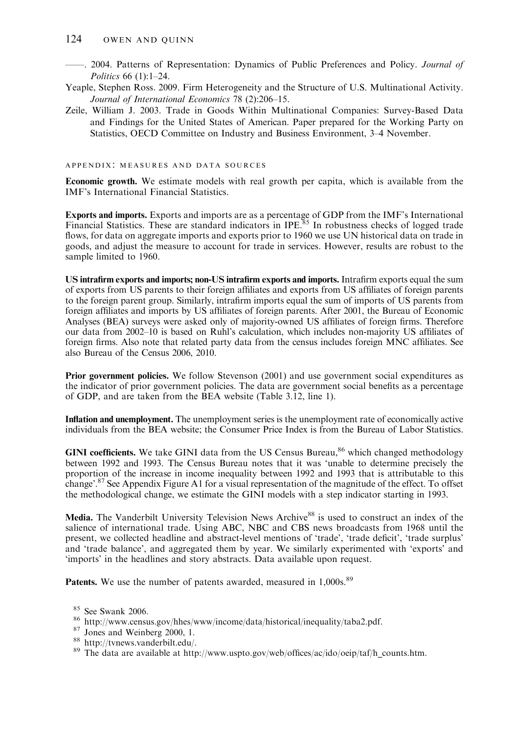- <span id="page-29-0"></span>**-------** 2004. Patterns of Representation: Dynamics of Public Preferences and Policy. Journal of Politics 66 (1):1–24.
- Yeaple, Stephen Ross. 2009. Firm Heterogeneity and the Structure of U.S. Multinational Activity. Journal of International Economics 78 (2):206–15.
- Zeile, William J. 2003. Trade in Goods Within Multinational Companies: Survey-Based Data and Findings for the United States of American. Paper prepared for the Working Party on Statistics, OECD Committee on Industry and Business Environment, 3–4 November.

### APPENDIX: MEASURES AND DATA SOURCES

Economic growth. We estimate models with real growth per capita, which is available from the IMF's International Financial Statistics.

Exports and imports. Exports and imports are as a percentage of GDP from the IMF's International Financial Statistics. These are standard indicators in IPE.<sup>85</sup> In robustness checks of logged trade flows, for data on aggregate imports and exports prior to 1960 we use UN historical data on trade in goods, and adjust the measure to account for trade in services. However, results are robust to the sample limited to 1960.

US intrafirm exports and imports; non-US intrafirm exports and imports. Intrafirm exports equal the sum of exports from US parents to their foreign affiliates and exports from US affiliates of foreign parents to the foreign parent group. Similarly, intrafirm imports equal the sum of imports of US parents from foreign affiliates and imports by US affiliates of foreign parents. After 2001, the Bureau of Economic Analyses (BEA) surveys were asked only of majority-owned US affiliates of foreign firms. Therefore our data from 2002–10 is based on Ruhl's calculation, which includes non-majority US affiliates of foreign firms. Also note that related party data from the census includes foreign MNC affiliates. See also Bureau of the Census [2006, 2010](#page-26-0).

Prior government policies. We follow Stevenson [\(2001](#page-28-0)) and use government social expenditures as the indicator of prior government policies. The data are government social benefits as a percentage of GDP, and are taken from the BEA website (Table 3.12, line 1).

Inflation and unemployment. The unemployment series is the unemployment rate of economically active individuals from the BEA website; the Consumer Price Index is from the Bureau of Labor Statistics.

**GINI coefficients.** We take GINI data from the US Census Bureau,<sup>86</sup> which changed methodology between 1992 and 1993. The Census Bureau notes that it was 'unable to determine precisely the proportion of the increase in income inequality between 1992 and 1993 that is attributable to this change'.<sup>87</sup> See Appendix [Figure A1](#page-30-0) for a visual representation of the magnitude of the effect. To offset the methodological change, we estimate the GINI models with a step indicator starting in 1993.

Media. The Vanderbilt University Television News Archive<sup>88</sup> is used to construct an index of the salience of international trade. Using ABC, NBC and CBS news broadcasts from 1968 until the present, we collected headline and abstract-level mentions of 'trade', 'trade deficit', 'trade surplus' and 'trade balance', and aggregated them by year. We similarly experimented with 'exports' and 'imports' in the headlines and story abstracts. Data available upon request.

Patents. We use the number of patents awarded, measured in 1,000s.<sup>89</sup>

- 
- 
- 
- <sup>85</sup> See Swank [2006.](#page-28-0)<br>
<sup>86</sup> http://www.census.gov/hhes/www/income/data/historical/inequality/taba2.pdf.<br>
<sup>87</sup> Jones and Weinberg [2000](#page-27-0), 1.<br>
<sup>88</sup> http://tvnews.vanderbilt.edu/.<br>
<sup>89</sup> The data are available at http://www.uspt